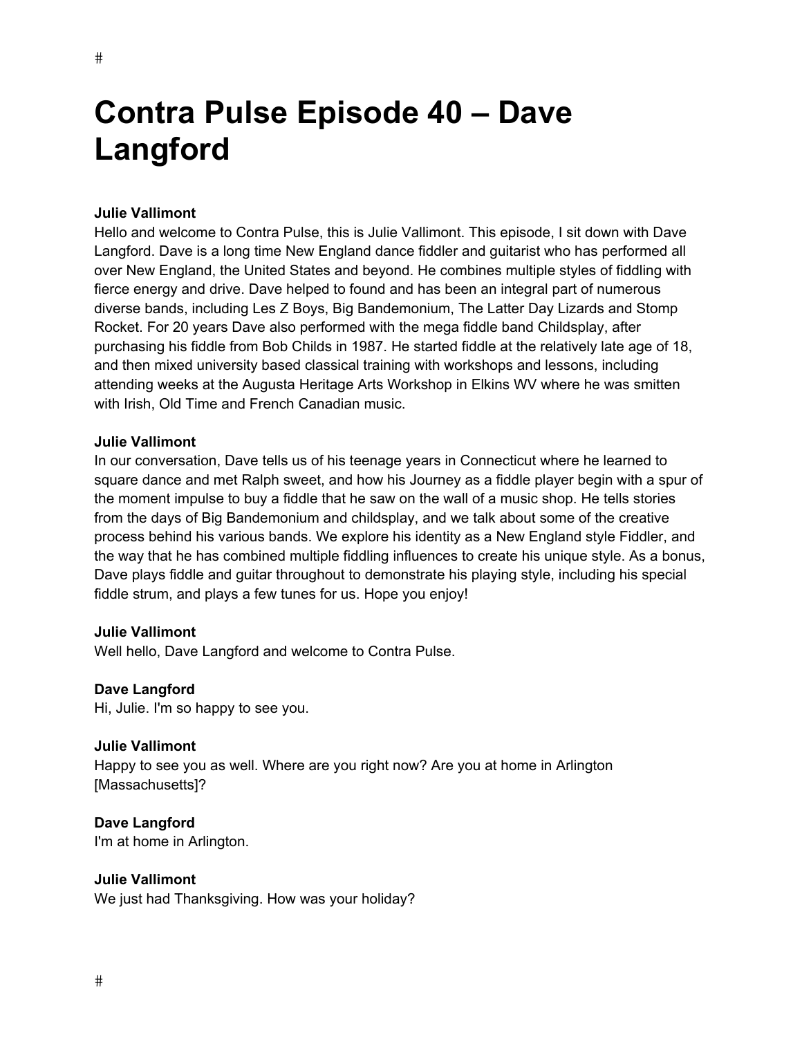# **Contra Pulse Episode 40 – Dave Langford**

# **Julie Vallimont**

Hello and welcome to Contra Pulse, this is Julie Vallimont. This episode, I sit down with Dave Langford. Dave is a long time New England dance fiddler and guitarist who has performed all over New England, the United States and beyond. He combines multiple styles of fiddling with fierce energy and drive. Dave helped to found and has been an integral part of numerous diverse bands, including Les Z Boys, Big Bandemonium, The Latter Day Lizards and Stomp Rocket. For 20 years Dave also performed with the mega fiddle band Childsplay, after purchasing his fiddle from Bob Childs in 1987. He started fiddle at the relatively late age of 18, and then mixed university based classical training with workshops and lessons, including attending weeks at the Augusta Heritage Arts Workshop in Elkins WV where he was smitten with Irish, Old Time and French Canadian music.

#### **Julie Vallimont**

In our conversation, Dave tells us of his teenage years in Connecticut where he learned to square dance and met Ralph sweet, and how his Journey as a fiddle player begin with a spur of the moment impulse to buy a fiddle that he saw on the wall of a music shop. He tells stories from the days of Big Bandemonium and childsplay, and we talk about some of the creative process behind his various bands. We explore his identity as a New England style Fiddler, and the way that he has combined multiple fiddling influences to create his unique style. As a bonus, Dave plays fiddle and guitar throughout to demonstrate his playing style, including his special fiddle strum, and plays a few tunes for us. Hope you enjoy!

# **Julie Vallimont**

Well hello, Dave Langford and welcome to Contra Pulse.

#### **Dave Langford**

Hi, Julie. I'm so happy to see you.

#### **Julie Vallimont**

Happy to see you as well. Where are you right now? Are you at home in Arlington [Massachusetts]?

# **Dave Langford**

I'm at home in Arlington.

# **Julie Vallimont**

We just had Thanksgiving. How was your holiday?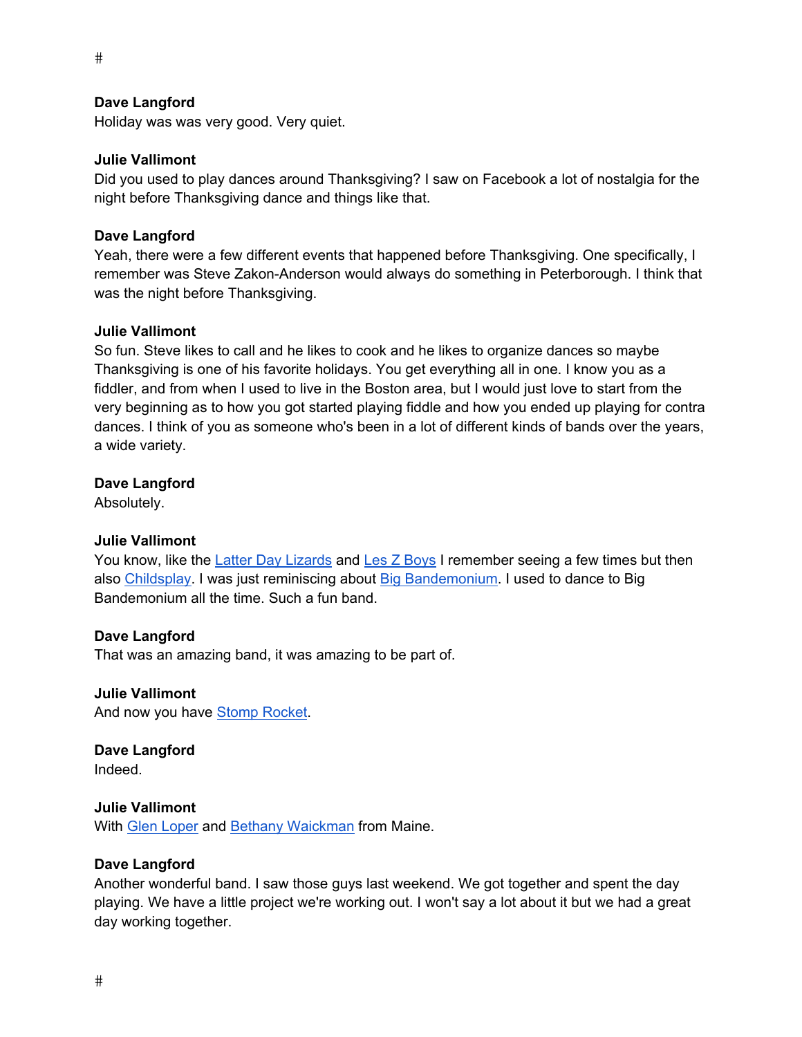Holiday was was very good. Very quiet.

#### **Julie Vallimont**

Did you used to play dances around Thanksgiving? I saw on Facebook a lot of nostalgia for the night before Thanksgiving dance and things like that.

#### **Dave Langford**

Yeah, there were a few different events that happened before Thanksgiving. One specifically, I remember was Steve Zakon-Anderson would always do something in Peterborough. I think that was the night before Thanksgiving.

#### **Julie Vallimont**

So fun. Steve likes to call and he likes to cook and he likes to organize dances so maybe Thanksgiving is one of his favorite holidays. You get everything all in one. I know you as a fiddler, and from when I used to live in the Boston area, but I would just love to start from the very beginning as to how you got started playing fiddle and how you ended up playing for contra dances. I think of you as someone who's been in a lot of different kinds of bands over the years, a wide variety.

#### **Dave Langford**

Absolutely.

# **Julie Vallimont**

You know, like the Latter Day Lizards and Les Z Boys I remember seeing a few times but then also Childsplay. I was just reminiscing about Big Bandemonium. I used to dance to Big Bandemonium all the time. Such a fun band.

#### **Dave Langford**

That was an amazing band, it was amazing to be part of.

**Julie Vallimont**  And now you have Stomp Rocket.

**Dave Langford**  Indeed.

# **Julie Vallimont**

With **Glen Loper and Bethany Waickman from Maine.** 

#### **Dave Langford**

Another wonderful band. I saw those guys last weekend. We got together and spent the day playing. We have a little project we're working out. I won't say a lot about it but we had a great day working together.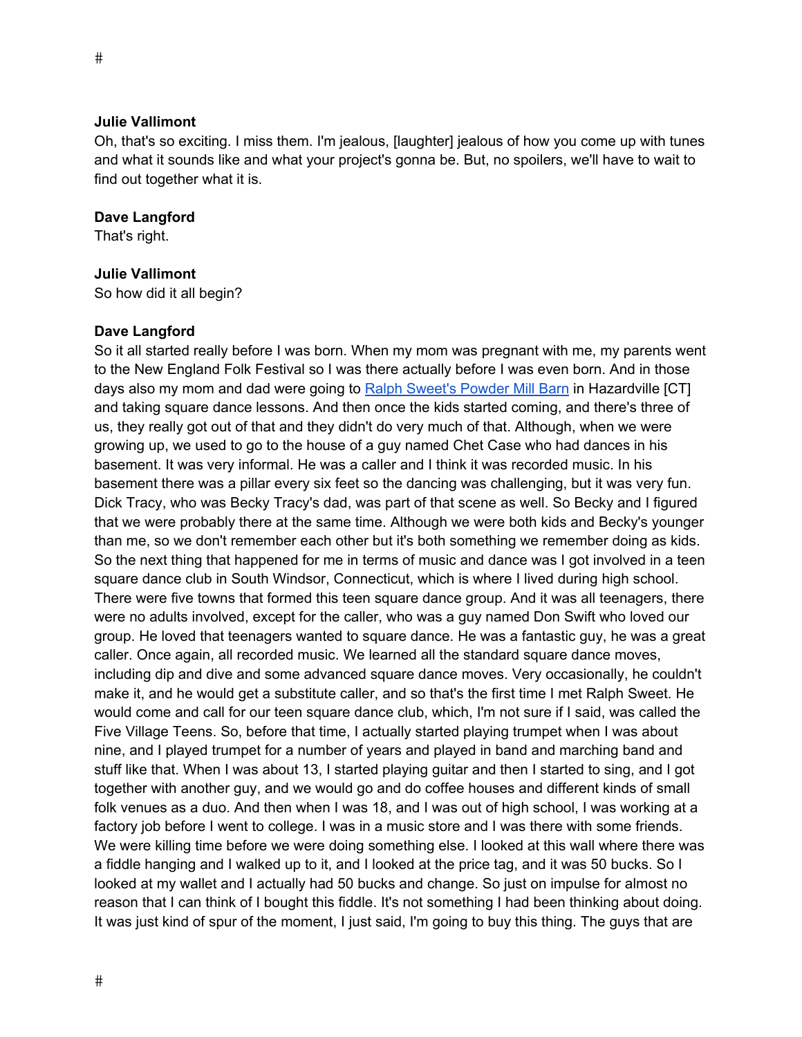Oh, that's so exciting. I miss them. I'm jealous, [laughter] jealous of how you come up with tunes and what it sounds like and what your project's gonna be. But, no spoilers, we'll have to wait to find out together what it is.

#### **Dave Langford**

That's right.

#### **Julie Vallimont**

So how did it all begin?

#### **Dave Langford**

So it all started really before I was born. When my mom was pregnant with me, my parents went to the New England Folk Festival so I was there actually before I was even born. And in those days also my mom and dad were going to Ralph Sweet's Powder Mill Barn in Hazardville [CT] and taking square dance lessons. And then once the kids started coming, and there's three of us, they really got out of that and they didn't do very much of that. Although, when we were growing up, we used to go to the house of a guy named Chet Case who had dances in his basement. It was very informal. He was a caller and I think it was recorded music. In his basement there was a pillar every six feet so the dancing was challenging, but it was very fun. Dick Tracy, who was Becky Tracy's dad, was part of that scene as well. So Becky and I figured that we were probably there at the same time. Although we were both kids and Becky's younger than me, so we don't remember each other but it's both something we remember doing as kids. So the next thing that happened for me in terms of music and dance was I got involved in a teen square dance club in South Windsor, Connecticut, which is where I lived during high school. There were five towns that formed this teen square dance group. And it was all teenagers, there were no adults involved, except for the caller, who was a guy named Don Swift who loved our group. He loved that teenagers wanted to square dance. He was a fantastic guy, he was a great caller. Once again, all recorded music. We learned all the standard square dance moves, including dip and dive and some advanced square dance moves. Very occasionally, he couldn't make it, and he would get a substitute caller, and so that's the first time I met Ralph Sweet. He would come and call for our teen square dance club, which, I'm not sure if I said, was called the Five Village Teens. So, before that time, I actually started playing trumpet when I was about nine, and I played trumpet for a number of years and played in band and marching band and stuff like that. When I was about 13, I started playing guitar and then I started to sing, and I got together with another guy, and we would go and do coffee houses and different kinds of small folk venues as a duo. And then when I was 18, and I was out of high school, I was working at a factory job before I went to college. I was in a music store and I was there with some friends. We were killing time before we were doing something else. I looked at this wall where there was a fiddle hanging and I walked up to it, and I looked at the price tag, and it was 50 bucks. So I looked at my wallet and I actually had 50 bucks and change. So just on impulse for almost no reason that I can think of I bought this fiddle. It's not something I had been thinking about doing. It was just kind of spur of the moment, I just said, I'm going to buy this thing. The guys that are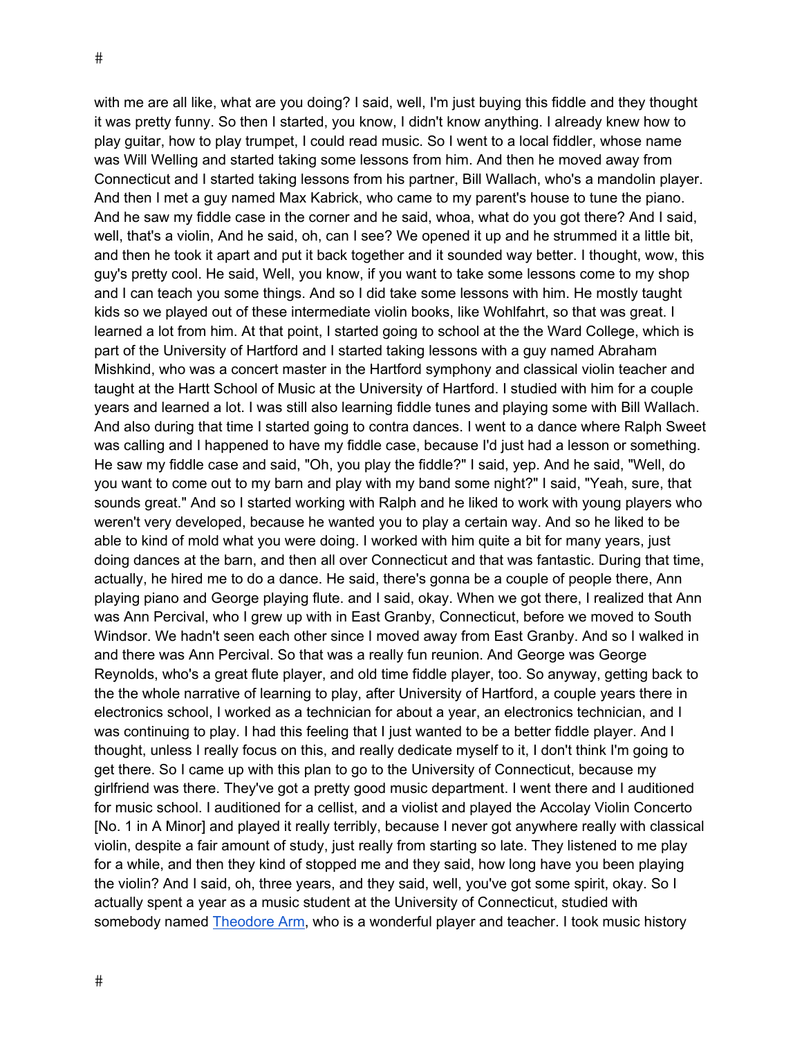with me are all like, what are you doing? I said, well, I'm just buying this fiddle and they thought it was pretty funny. So then I started, you know, I didn't know anything. I already knew how to play guitar, how to play trumpet, I could read music. So I went to a local fiddler, whose name was Will Welling and started taking some lessons from him. And then he moved away from Connecticut and I started taking lessons from his partner, Bill Wallach, who's a mandolin player. And then I met a guy named Max Kabrick, who came to my parent's house to tune the piano. And he saw my fiddle case in the corner and he said, whoa, what do you got there? And I said, well, that's a violin, And he said, oh, can I see? We opened it up and he strummed it a little bit, and then he took it apart and put it back together and it sounded way better. I thought, wow, this guy's pretty cool. He said, Well, you know, if you want to take some lessons come to my shop and I can teach you some things. And so I did take some lessons with him. He mostly taught kids so we played out of these intermediate violin books, like Wohlfahrt, so that was great. I learned a lot from him. At that point, I started going to school at the the Ward College, which is part of the University of Hartford and I started taking lessons with a guy named Abraham Mishkind, who was a concert master in the Hartford symphony and classical violin teacher and taught at the Hartt School of Music at the University of Hartford. I studied with him for a couple years and learned a lot. I was still also learning fiddle tunes and playing some with Bill Wallach. And also during that time I started going to contra dances. I went to a dance where Ralph Sweet was calling and I happened to have my fiddle case, because I'd just had a lesson or something. He saw my fiddle case and said, "Oh, you play the fiddle?" I said, yep. And he said, "Well, do you want to come out to my barn and play with my band some night?" I said, "Yeah, sure, that sounds great." And so I started working with Ralph and he liked to work with young players who weren't very developed, because he wanted you to play a certain way. And so he liked to be able to kind of mold what you were doing. I worked with him quite a bit for many years, just doing dances at the barn, and then all over Connecticut and that was fantastic. During that time, actually, he hired me to do a dance. He said, there's gonna be a couple of people there, Ann playing piano and George playing flute. and I said, okay. When we got there, I realized that Ann was Ann Percival, who I grew up with in East Granby, Connecticut, before we moved to South Windsor. We hadn't seen each other since I moved away from East Granby. And so I walked in and there was Ann Percival. So that was a really fun reunion. And George was George Reynolds, who's a great flute player, and old time fiddle player, too. So anyway, getting back to the the whole narrative of learning to play, after University of Hartford, a couple years there in electronics school, I worked as a technician for about a year, an electronics technician, and I was continuing to play. I had this feeling that I just wanted to be a better fiddle player. And I thought, unless I really focus on this, and really dedicate myself to it, I don't think I'm going to get there. So I came up with this plan to go to the University of Connecticut, because my girlfriend was there. They've got a pretty good music department. I went there and I auditioned for music school. I auditioned for a cellist, and a violist and played the Accolay Violin Concerto [No. 1 in A Minor] and played it really terribly, because I never got anywhere really with classical violin, despite a fair amount of study, just really from starting so late. They listened to me play for a while, and then they kind of stopped me and they said, how long have you been playing the violin? And I said, oh, three years, and they said, well, you've got some spirit, okay. So I actually spent a year as a music student at the University of Connecticut, studied with somebody named Theodore Arm, who is a wonderful player and teacher. I took music history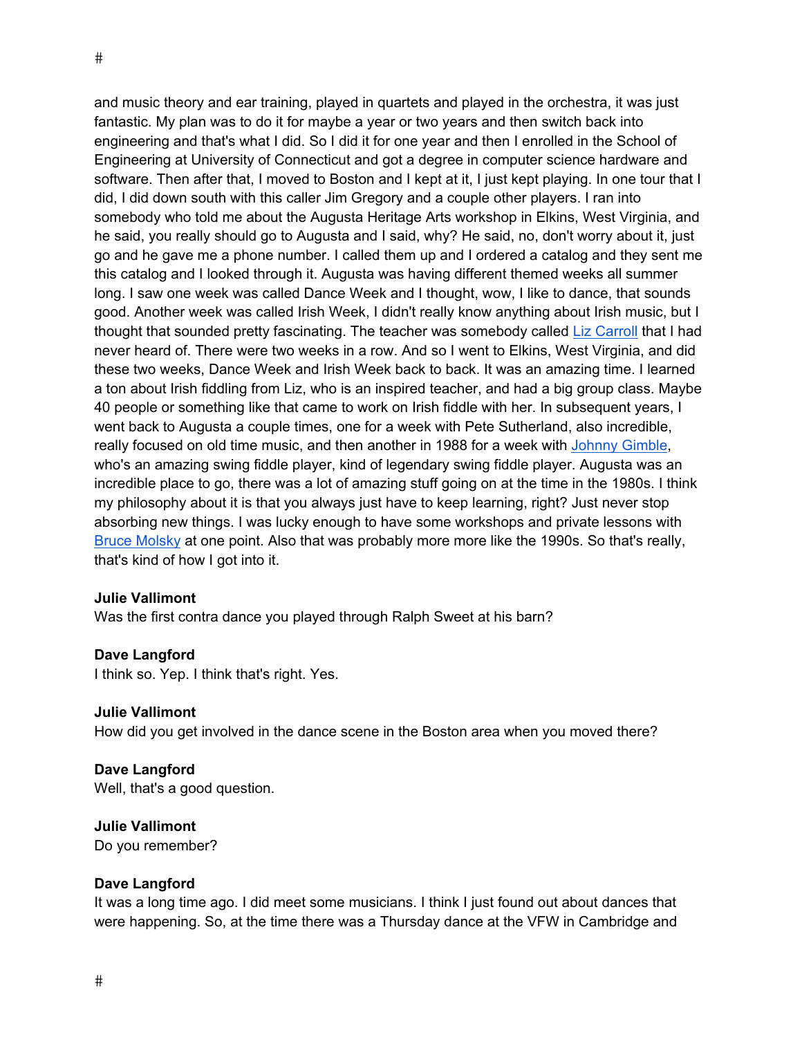and music theory and ear training, played in quartets and played in the orchestra, it was just fantastic. My plan was to do it for maybe a year or two years and then switch back into engineering and that's what I did. So I did it for one year and then I enrolled in the School of Engineering at University of Connecticut and got a degree in computer science hardware and software. Then after that, I moved to Boston and I kept at it, I just kept playing. In one tour that I did, I did down south with this caller Jim Gregory and a couple other players. I ran into somebody who told me about the Augusta Heritage Arts workshop in Elkins, West Virginia, and he said, you really should go to Augusta and I said, why? He said, no, don't worry about it, just go and he gave me a phone number. I called them up and I ordered a catalog and they sent me this catalog and I looked through it. Augusta was having different themed weeks all summer long. I saw one week was called Dance Week and I thought, wow, I like to dance, that sounds good. Another week was called Irish Week, I didn't really know anything about Irish music, but I thought that sounded pretty fascinating. The teacher was somebody called Liz Carroll that I had never heard of. There were two weeks in a row. And so I went to Elkins, West Virginia, and did these two weeks, Dance Week and Irish Week back to back. It was an amazing time. I learned a ton about Irish fiddling from Liz, who is an inspired teacher, and had a big group class. Maybe 40 people or something like that came to work on Irish fiddle with her. In subsequent years, I went back to Augusta a couple times, one for a week with Pete Sutherland, also incredible, really focused on old time music, and then another in 1988 for a week with Johnny Gimble, who's an amazing swing fiddle player, kind of legendary swing fiddle player. Augusta was an incredible place to go, there was a lot of amazing stuff going on at the time in the 1980s. I think my philosophy about it is that you always just have to keep learning, right? Just never stop absorbing new things. I was lucky enough to have some workshops and private lessons with Bruce Molsky at one point. Also that was probably more more like the 1990s. So that's really, that's kind of how I got into it.

#### **Julie Vallimont**

Was the first contra dance you played through Ralph Sweet at his barn?

#### **Dave Langford**

I think so. Yep. I think that's right. Yes.

#### **Julie Vallimont**

How did you get involved in the dance scene in the Boston area when you moved there?

#### **Dave Langford**  Well, that's a good question.

**Julie Vallimont** 

Do you remember?

#### **Dave Langford**

It was a long time ago. I did meet some musicians. I think I just found out about dances that were happening. So, at the time there was a Thursday dance at the VFW in Cambridge and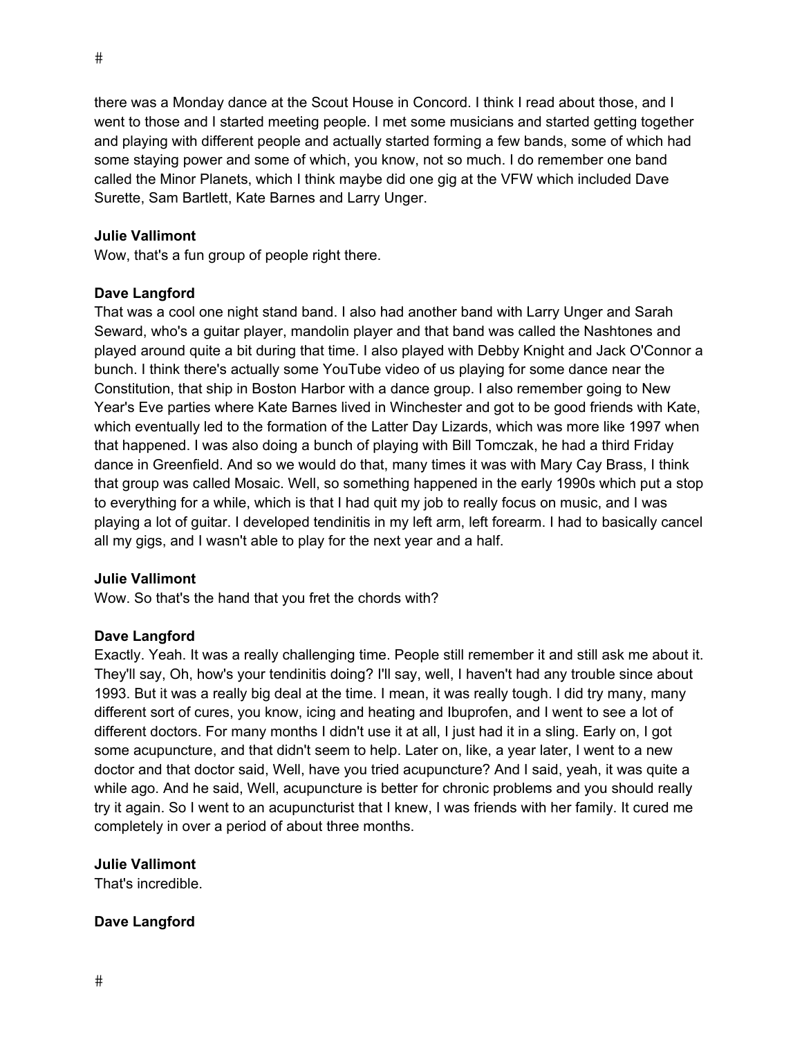there was a Monday dance at the Scout House in Concord. I think I read about those, and I went to those and I started meeting people. I met some musicians and started getting together and playing with different people and actually started forming a few bands, some of which had some staying power and some of which, you know, not so much. I do remember one band called the Minor Planets, which I think maybe did one gig at the VFW which included Dave Surette, Sam Bartlett, Kate Barnes and Larry Unger.

# **Julie Vallimont**

Wow, that's a fun group of people right there.

#### **Dave Langford**

That was a cool one night stand band. I also had another band with Larry Unger and Sarah Seward, who's a guitar player, mandolin player and that band was called the Nashtones and played around quite a bit during that time. I also played with Debby Knight and Jack O'Connor a bunch. I think there's actually some YouTube video of us playing for some dance near the Constitution, that ship in Boston Harbor with a dance group. I also remember going to New Year's Eve parties where Kate Barnes lived in Winchester and got to be good friends with Kate, which eventually led to the formation of the Latter Day Lizards, which was more like 1997 when that happened. I was also doing a bunch of playing with Bill Tomczak, he had a third Friday dance in Greenfield. And so we would do that, many times it was with Mary Cay Brass, I think that group was called Mosaic. Well, so something happened in the early 1990s which put a stop to everything for a while, which is that I had quit my job to really focus on music, and I was playing a lot of guitar. I developed tendinitis in my left arm, left forearm. I had to basically cancel all my gigs, and I wasn't able to play for the next year and a half.

# **Julie Vallimont**

Wow. So that's the hand that you fret the chords with?

# **Dave Langford**

Exactly. Yeah. It was a really challenging time. People still remember it and still ask me about it. They'll say, Oh, how's your tendinitis doing? I'll say, well, I haven't had any trouble since about 1993. But it was a really big deal at the time. I mean, it was really tough. I did try many, many different sort of cures, you know, icing and heating and Ibuprofen, and I went to see a lot of different doctors. For many months I didn't use it at all, I just had it in a sling. Early on, I got some acupuncture, and that didn't seem to help. Later on, like, a year later, I went to a new doctor and that doctor said, Well, have you tried acupuncture? And I said, yeah, it was quite a while ago. And he said, Well, acupuncture is better for chronic problems and you should really try it again. So I went to an acupuncturist that I knew, I was friends with her family. It cured me completely in over a period of about three months.

# **Julie Vallimont**

That's incredible.

# **Dave Langford**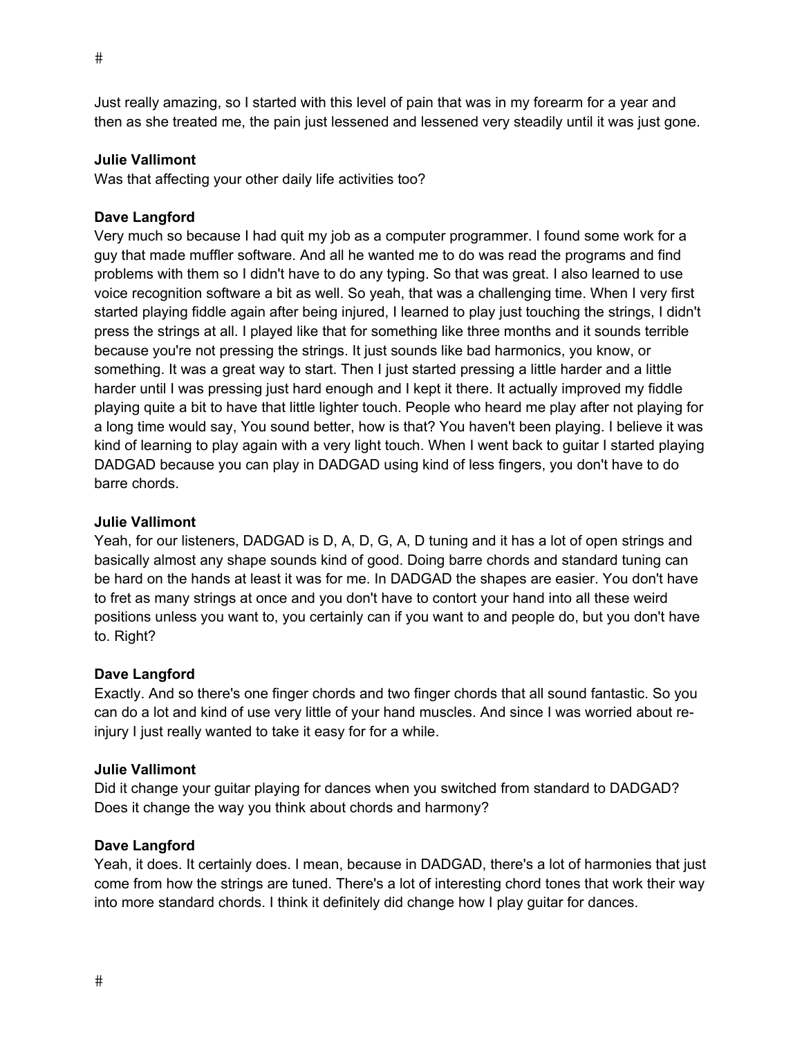Just really amazing, so I started with this level of pain that was in my forearm for a year and then as she treated me, the pain just lessened and lessened very steadily until it was just gone.

# **Julie Vallimont**

Was that affecting your other daily life activities too?

# **Dave Langford**

Very much so because I had quit my job as a computer programmer. I found some work for a guy that made muffler software. And all he wanted me to do was read the programs and find problems with them so I didn't have to do any typing. So that was great. I also learned to use voice recognition software a bit as well. So yeah, that was a challenging time. When I very first started playing fiddle again after being injured, I learned to play just touching the strings, I didn't press the strings at all. I played like that for something like three months and it sounds terrible because you're not pressing the strings. It just sounds like bad harmonics, you know, or something. It was a great way to start. Then I just started pressing a little harder and a little harder until I was pressing just hard enough and I kept it there. It actually improved my fiddle playing quite a bit to have that little lighter touch. People who heard me play after not playing for a long time would say, You sound better, how is that? You haven't been playing. I believe it was kind of learning to play again with a very light touch. When I went back to guitar I started playing DADGAD because you can play in DADGAD using kind of less fingers, you don't have to do barre chords.

# **Julie Vallimont**

Yeah, for our listeners, DADGAD is D, A, D, G, A, D tuning and it has a lot of open strings and basically almost any shape sounds kind of good. Doing barre chords and standard tuning can be hard on the hands at least it was for me. In DADGAD the shapes are easier. You don't have to fret as many strings at once and you don't have to contort your hand into all these weird positions unless you want to, you certainly can if you want to and people do, but you don't have to. Right?

# **Dave Langford**

Exactly. And so there's one finger chords and two finger chords that all sound fantastic. So you can do a lot and kind of use very little of your hand muscles. And since I was worried about reinjury I just really wanted to take it easy for for a while.

# **Julie Vallimont**

Did it change your guitar playing for dances when you switched from standard to DADGAD? Does it change the way you think about chords and harmony?

# **Dave Langford**

Yeah, it does. It certainly does. I mean, because in DADGAD, there's a lot of harmonies that just come from how the strings are tuned. There's a lot of interesting chord tones that work their way into more standard chords. I think it definitely did change how I play guitar for dances.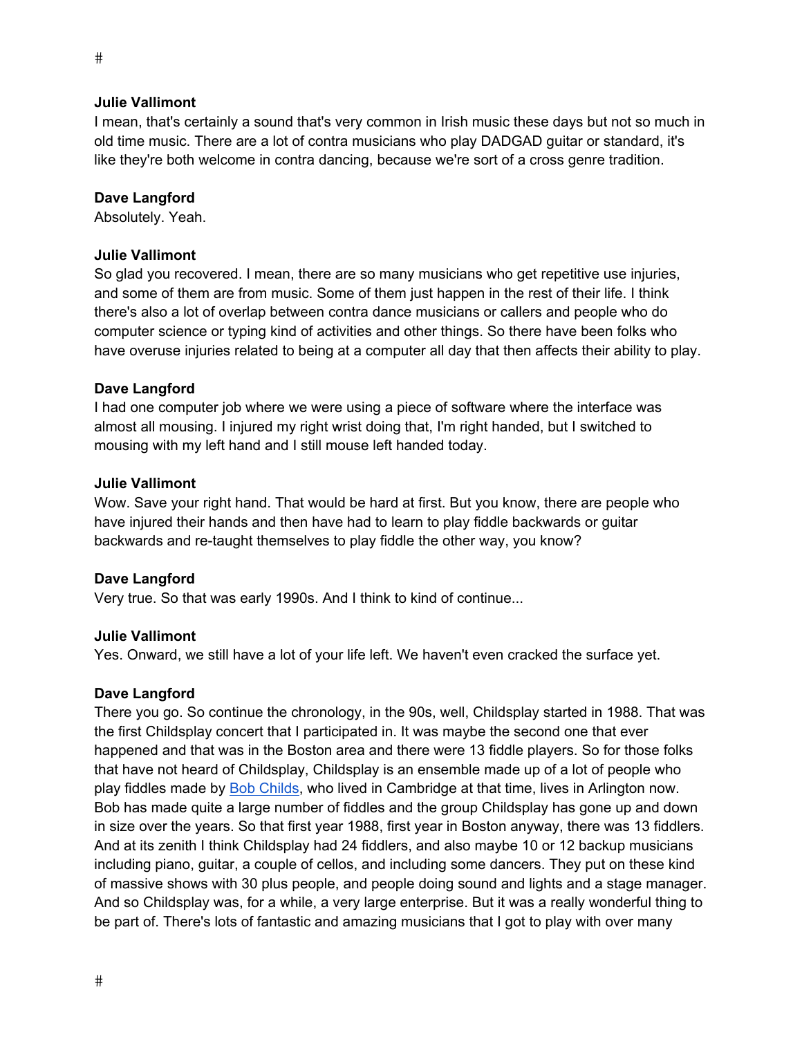I mean, that's certainly a sound that's very common in Irish music these days but not so much in old time music. There are a lot of contra musicians who play DADGAD guitar or standard, it's like they're both welcome in contra dancing, because we're sort of a cross genre tradition.

#### **Dave Langford**

Absolutely. Yeah.

#### **Julie Vallimont**

So glad you recovered. I mean, there are so many musicians who get repetitive use injuries, and some of them are from music. Some of them just happen in the rest of their life. I think there's also a lot of overlap between contra dance musicians or callers and people who do computer science or typing kind of activities and other things. So there have been folks who have overuse injuries related to being at a computer all day that then affects their ability to play.

#### **Dave Langford**

I had one computer job where we were using a piece of software where the interface was almost all mousing. I injured my right wrist doing that, I'm right handed, but I switched to mousing with my left hand and I still mouse left handed today.

#### **Julie Vallimont**

Wow. Save your right hand. That would be hard at first. But you know, there are people who have injured their hands and then have had to learn to play fiddle backwards or guitar backwards and re-taught themselves to play fiddle the other way, you know?

# **Dave Langford**

Very true. So that was early 1990s. And I think to kind of continue...

# **Julie Vallimont**

Yes. Onward, we still have a lot of your life left. We haven't even cracked the surface yet.

#### **Dave Langford**

There you go. So continue the chronology, in the 90s, well, Childsplay started in 1988. That was the first Childsplay concert that I participated in. It was maybe the second one that ever happened and that was in the Boston area and there were 13 fiddle players. So for those folks that have not heard of Childsplay, Childsplay is an ensemble made up of a lot of people who play fiddles made by Bob Childs, who lived in Cambridge at that time, lives in Arlington now. Bob has made quite a large number of fiddles and the group Childsplay has gone up and down in size over the years. So that first year 1988, first year in Boston anyway, there was 13 fiddlers. And at its zenith I think Childsplay had 24 fiddlers, and also maybe 10 or 12 backup musicians including piano, guitar, a couple of cellos, and including some dancers. They put on these kind of massive shows with 30 plus people, and people doing sound and lights and a stage manager. And so Childsplay was, for a while, a very large enterprise. But it was a really wonderful thing to be part of. There's lots of fantastic and amazing musicians that I got to play with over many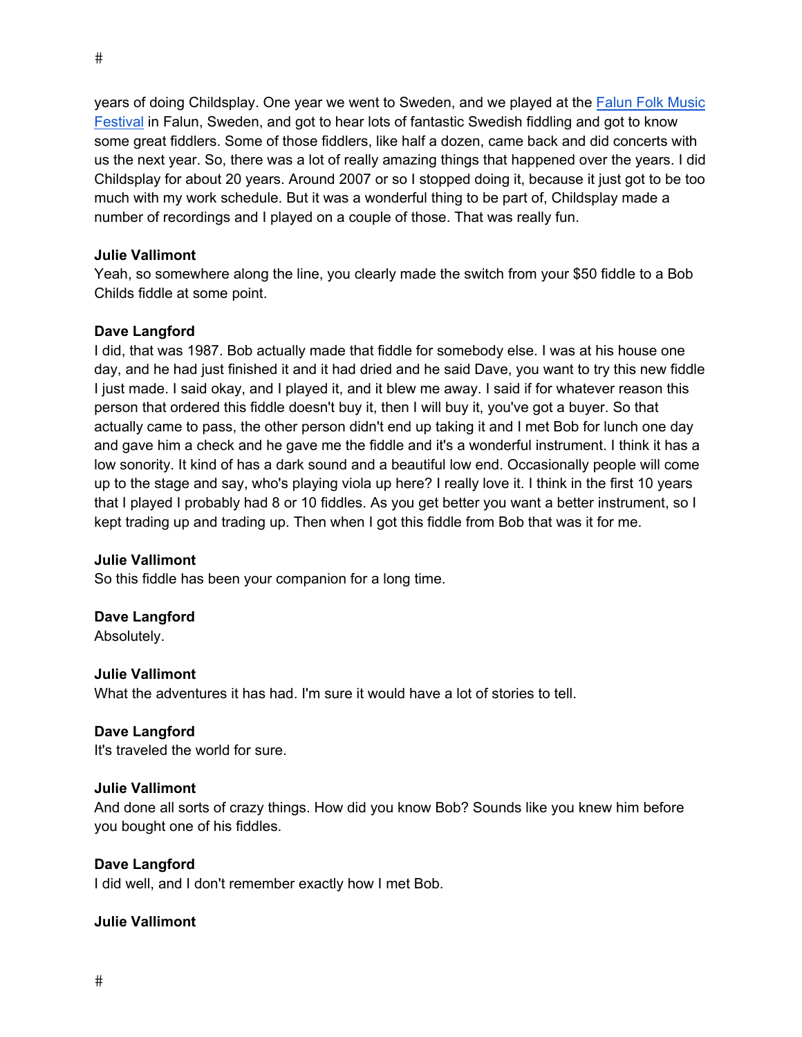years of doing Childsplay. One year we went to Sweden, and we played at the Falun Folk Music Festival in Falun, Sweden, and got to hear lots of fantastic Swedish fiddling and got to know some great fiddlers. Some of those fiddlers, like half a dozen, came back and did concerts with us the next year. So, there was a lot of really amazing things that happened over the years. I did Childsplay for about 20 years. Around 2007 or so I stopped doing it, because it just got to be too much with my work schedule. But it was a wonderful thing to be part of, Childsplay made a number of recordings and I played on a couple of those. That was really fun.

# **Julie Vallimont**

Yeah, so somewhere along the line, you clearly made the switch from your \$50 fiddle to a Bob Childs fiddle at some point.

# **Dave Langford**

I did, that was 1987. Bob actually made that fiddle for somebody else. I was at his house one day, and he had just finished it and it had dried and he said Dave, you want to try this new fiddle I just made. I said okay, and I played it, and it blew me away. I said if for whatever reason this person that ordered this fiddle doesn't buy it, then I will buy it, you've got a buyer. So that actually came to pass, the other person didn't end up taking it and I met Bob for lunch one day and gave him a check and he gave me the fiddle and it's a wonderful instrument. I think it has a low sonority. It kind of has a dark sound and a beautiful low end. Occasionally people will come up to the stage and say, who's playing viola up here? I really love it. I think in the first 10 years that I played I probably had 8 or 10 fiddles. As you get better you want a better instrument, so I kept trading up and trading up. Then when I got this fiddle from Bob that was it for me.

# **Julie Vallimont**

So this fiddle has been your companion for a long time.

# **Dave Langford**

Absolutely.

# **Julie Vallimont**

What the adventures it has had. I'm sure it would have a lot of stories to tell.

# **Dave Langford**

It's traveled the world for sure.

# **Julie Vallimont**

And done all sorts of crazy things. How did you know Bob? Sounds like you knew him before you bought one of his fiddles.

# **Dave Langford**

I did well, and I don't remember exactly how I met Bob.

# **Julie Vallimont**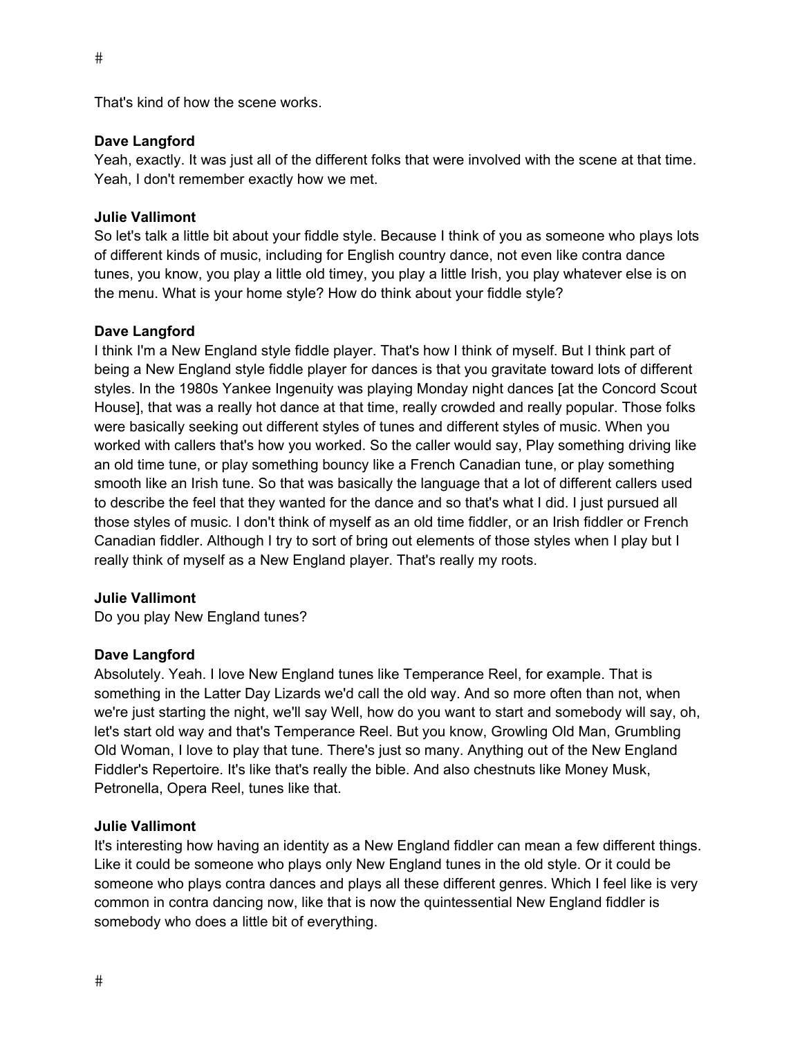That's kind of how the scene works.

# **Dave Langford**

Yeah, exactly. It was just all of the different folks that were involved with the scene at that time. Yeah, I don't remember exactly how we met.

# **Julie Vallimont**

So let's talk a little bit about your fiddle style. Because I think of you as someone who plays lots of different kinds of music, including for English country dance, not even like contra dance tunes, you know, you play a little old timey, you play a little Irish, you play whatever else is on the menu. What is your home style? How do think about your fiddle style?

# **Dave Langford**

I think I'm a New England style fiddle player. That's how I think of myself. But I think part of being a New England style fiddle player for dances is that you gravitate toward lots of different styles. In the 1980s Yankee Ingenuity was playing Monday night dances [at the Concord Scout House], that was a really hot dance at that time, really crowded and really popular. Those folks were basically seeking out different styles of tunes and different styles of music. When you worked with callers that's how you worked. So the caller would say, Play something driving like an old time tune, or play something bouncy like a French Canadian tune, or play something smooth like an Irish tune. So that was basically the language that a lot of different callers used to describe the feel that they wanted for the dance and so that's what I did. I just pursued all those styles of music. I don't think of myself as an old time fiddler, or an Irish fiddler or French Canadian fiddler. Although I try to sort of bring out elements of those styles when I play but I really think of myself as a New England player. That's really my roots.

# **Julie Vallimont**

Do you play New England tunes?

# **Dave Langford**

Absolutely. Yeah. I love New England tunes like Temperance Reel, for example. That is something in the Latter Day Lizards we'd call the old way. And so more often than not, when we're just starting the night, we'll say Well, how do you want to start and somebody will say, oh, let's start old way and that's Temperance Reel. But you know, Growling Old Man, Grumbling Old Woman, I love to play that tune. There's just so many. Anything out of the New England Fiddler's Repertoire. It's like that's really the bible. And also chestnuts like Money Musk, Petronella, Opera Reel, tunes like that.

# **Julie Vallimont**

It's interesting how having an identity as a New England fiddler can mean a few different things. Like it could be someone who plays only New England tunes in the old style. Or it could be someone who plays contra dances and plays all these different genres. Which I feel like is very common in contra dancing now, like that is now the quintessential New England fiddler is somebody who does a little bit of everything.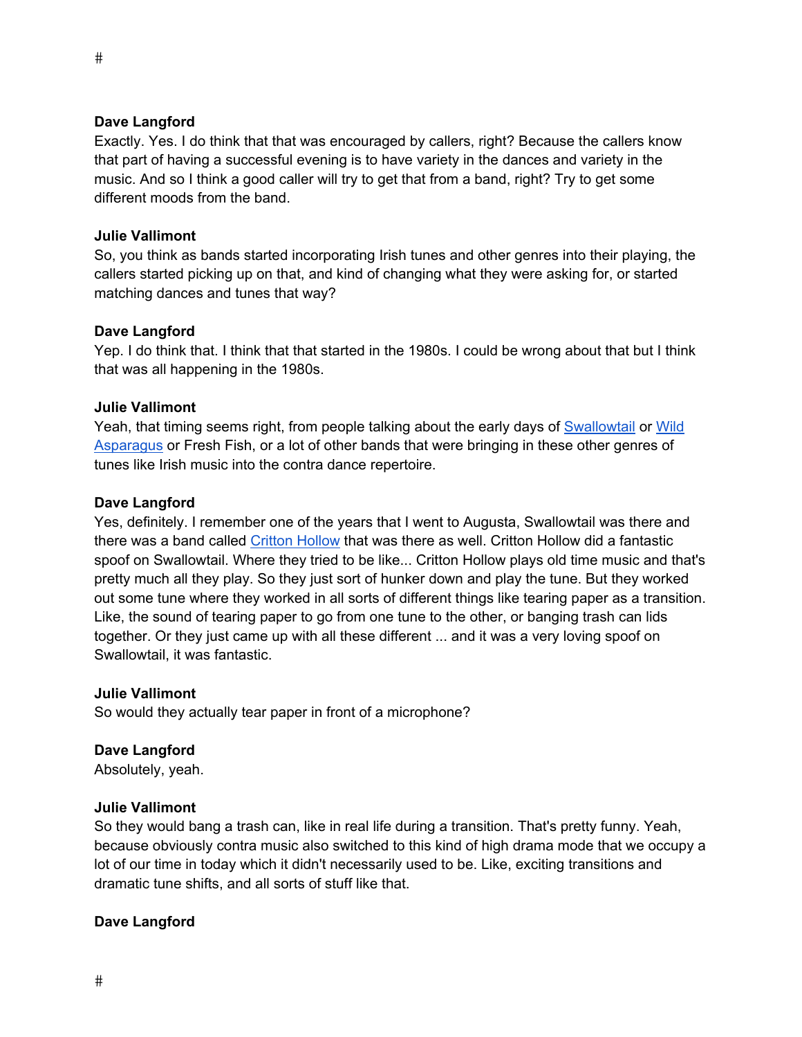Exactly. Yes. I do think that that was encouraged by callers, right? Because the callers know that part of having a successful evening is to have variety in the dances and variety in the music. And so I think a good caller will try to get that from a band, right? Try to get some different moods from the band.

#### **Julie Vallimont**

So, you think as bands started incorporating Irish tunes and other genres into their playing, the callers started picking up on that, and kind of changing what they were asking for, or started matching dances and tunes that way?

#### **Dave Langford**

Yep. I do think that. I think that that started in the 1980s. I could be wrong about that but I think that was all happening in the 1980s.

#### **Julie Vallimont**

Yeah, that timing seems right, from people talking about the early days of Swallowtail or Wild Asparagus or Fresh Fish, or a lot of other bands that were bringing in these other genres of tunes like Irish music into the contra dance repertoire.

#### **Dave Langford**

Yes, definitely. I remember one of the years that I went to Augusta, Swallowtail was there and there was a band called Critton Hollow that was there as well. Critton Hollow did a fantastic spoof on Swallowtail. Where they tried to be like... Critton Hollow plays old time music and that's pretty much all they play. So they just sort of hunker down and play the tune. But they worked out some tune where they worked in all sorts of different things like tearing paper as a transition. Like, the sound of tearing paper to go from one tune to the other, or banging trash can lids together. Or they just came up with all these different ... and it was a very loving spoof on Swallowtail, it was fantastic.

#### **Julie Vallimont**

So would they actually tear paper in front of a microphone?

# **Dave Langford**

Absolutely, yeah.

#### **Julie Vallimont**

So they would bang a trash can, like in real life during a transition. That's pretty funny. Yeah, because obviously contra music also switched to this kind of high drama mode that we occupy a lot of our time in today which it didn't necessarily used to be. Like, exciting transitions and dramatic tune shifts, and all sorts of stuff like that.

# **Dave Langford**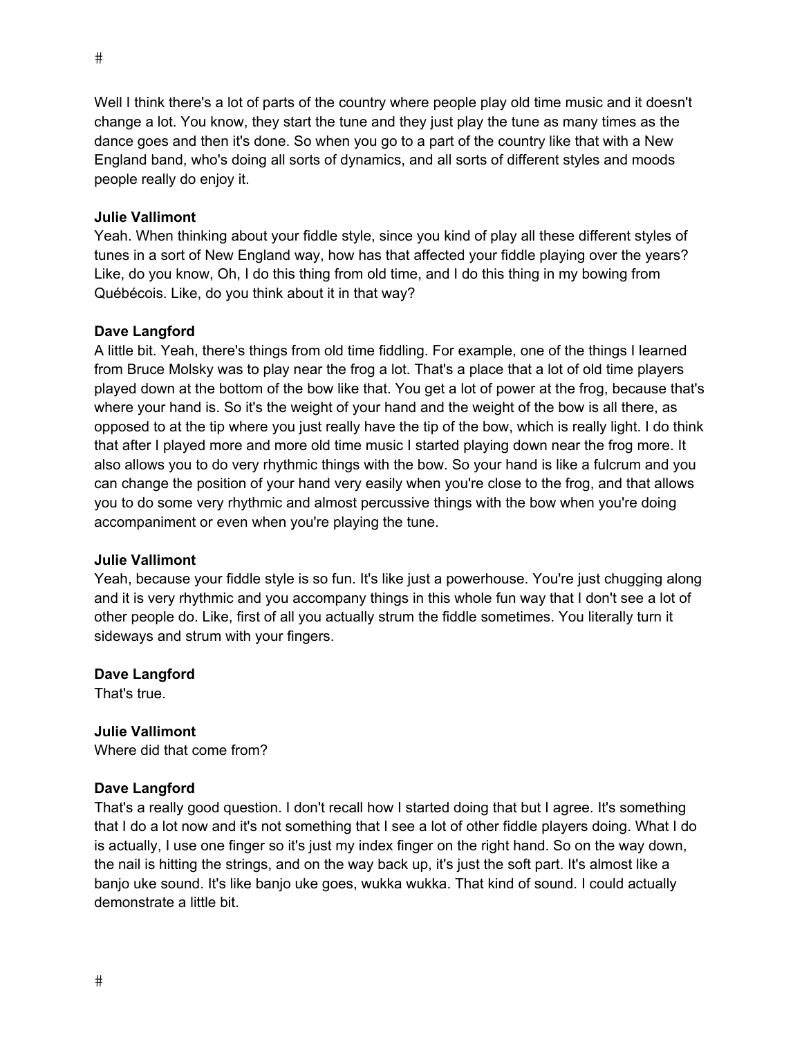Well I think there's a lot of parts of the country where people play old time music and it doesn't change a lot. You know, they start the tune and they just play the tune as many times as the dance goes and then it's done. So when you go to a part of the country like that with a New England band, who's doing all sorts of dynamics, and all sorts of different styles and moods people really do enjoy it.

# **Julie Vallimont**

Yeah. When thinking about your fiddle style, since you kind of play all these different styles of tunes in a sort of New England way, how has that affected your fiddle playing over the years? Like, do you know, Oh, I do this thing from old time, and I do this thing in my bowing from Québécois. Like, do you think about it in that way?

# **Dave Langford**

A little bit. Yeah, there's things from old time fiddling. For example, one of the things I learned from Bruce Molsky was to play near the frog a lot. That's a place that a lot of old time players played down at the bottom of the bow like that. You get a lot of power at the frog, because that's where your hand is. So it's the weight of your hand and the weight of the bow is all there, as opposed to at the tip where you just really have the tip of the bow, which is really light. I do think that after I played more and more old time music I started playing down near the frog more. It also allows you to do very rhythmic things with the bow. So your hand is like a fulcrum and you can change the position of your hand very easily when you're close to the frog, and that allows you to do some very rhythmic and almost percussive things with the bow when you're doing accompaniment or even when you're playing the tune.

# **Julie Vallimont**

Yeah, because your fiddle style is so fun. It's like just a powerhouse. You're just chugging along and it is very rhythmic and you accompany things in this whole fun way that I don't see a lot of other people do. Like, first of all you actually strum the fiddle sometimes. You literally turn it sideways and strum with your fingers.

# **Dave Langford**

That's true.

# **Julie Vallimont**

Where did that come from?

# **Dave Langford**

That's a really good question. I don't recall how I started doing that but I agree. It's something that I do a lot now and it's not something that I see a lot of other fiddle players doing. What I do is actually, I use one finger so it's just my index finger on the right hand. So on the way down, the nail is hitting the strings, and on the way back up, it's just the soft part. It's almost like a banjo uke sound. It's like banjo uke goes, wukka wukka. That kind of sound. I could actually demonstrate a little bit.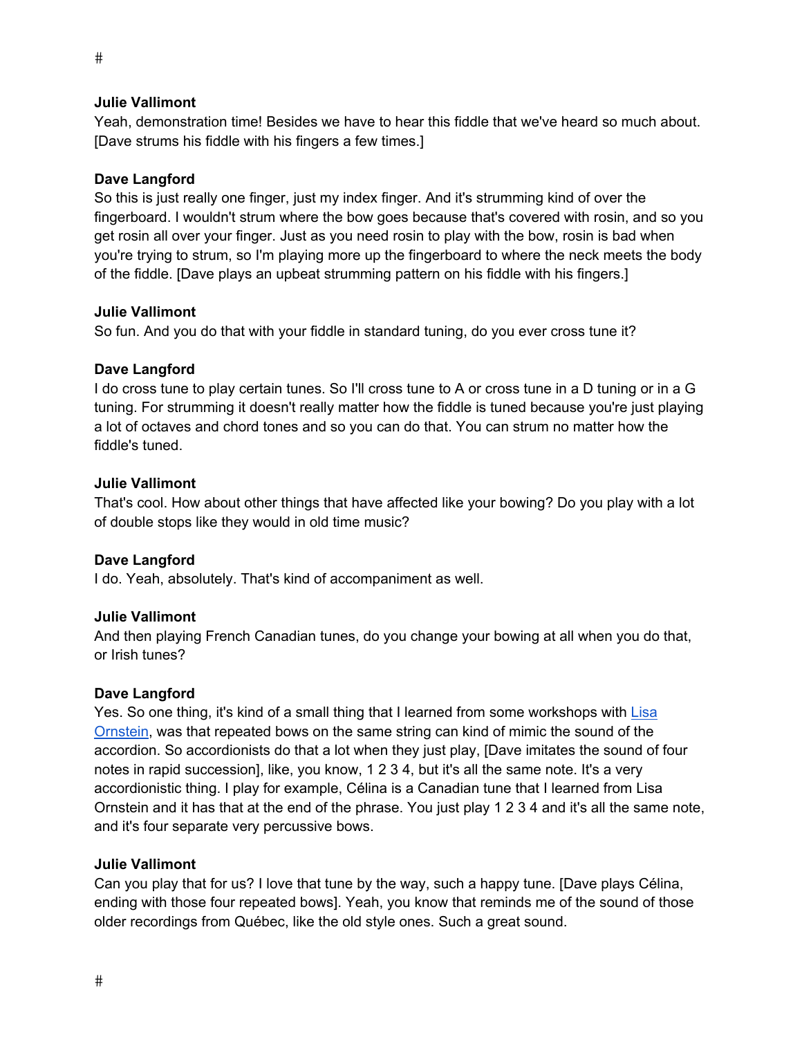Yeah, demonstration time! Besides we have to hear this fiddle that we've heard so much about. [Dave strums his fiddle with his fingers a few times.]

#### **Dave Langford**

So this is just really one finger, just my index finger. And it's strumming kind of over the fingerboard. I wouldn't strum where the bow goes because that's covered with rosin, and so you get rosin all over your finger. Just as you need rosin to play with the bow, rosin is bad when you're trying to strum, so I'm playing more up the fingerboard to where the neck meets the body of the fiddle. [Dave plays an upbeat strumming pattern on his fiddle with his fingers.]

#### **Julie Vallimont**

So fun. And you do that with your fiddle in standard tuning, do you ever cross tune it?

#### **Dave Langford**

I do cross tune to play certain tunes. So I'll cross tune to A or cross tune in a D tuning or in a G tuning. For strumming it doesn't really matter how the fiddle is tuned because you're just playing a lot of octaves and chord tones and so you can do that. You can strum no matter how the fiddle's tuned.

#### **Julie Vallimont**

That's cool. How about other things that have affected like your bowing? Do you play with a lot of double stops like they would in old time music?

# **Dave Langford**

I do. Yeah, absolutely. That's kind of accompaniment as well.

# **Julie Vallimont**

And then playing French Canadian tunes, do you change your bowing at all when you do that, or Irish tunes?

#### **Dave Langford**

Yes. So one thing, it's kind of a small thing that I learned from some workshops with Lisa Ornstein, was that repeated bows on the same string can kind of mimic the sound of the accordion. So accordionists do that a lot when they just play, [Dave imitates the sound of four notes in rapid succession], like, you know, 1 2 3 4, but it's all the same note. It's a very accordionistic thing. I play for example, Célina is a Canadian tune that I learned from Lisa Ornstein and it has that at the end of the phrase. You just play 1 2 3 4 and it's all the same note, and it's four separate very percussive bows.

#### **Julie Vallimont**

Can you play that for us? I love that tune by the way, such a happy tune. [Dave plays Célina, ending with those four repeated bows]. Yeah, you know that reminds me of the sound of those older recordings from Québec, like the old style ones. Such a great sound.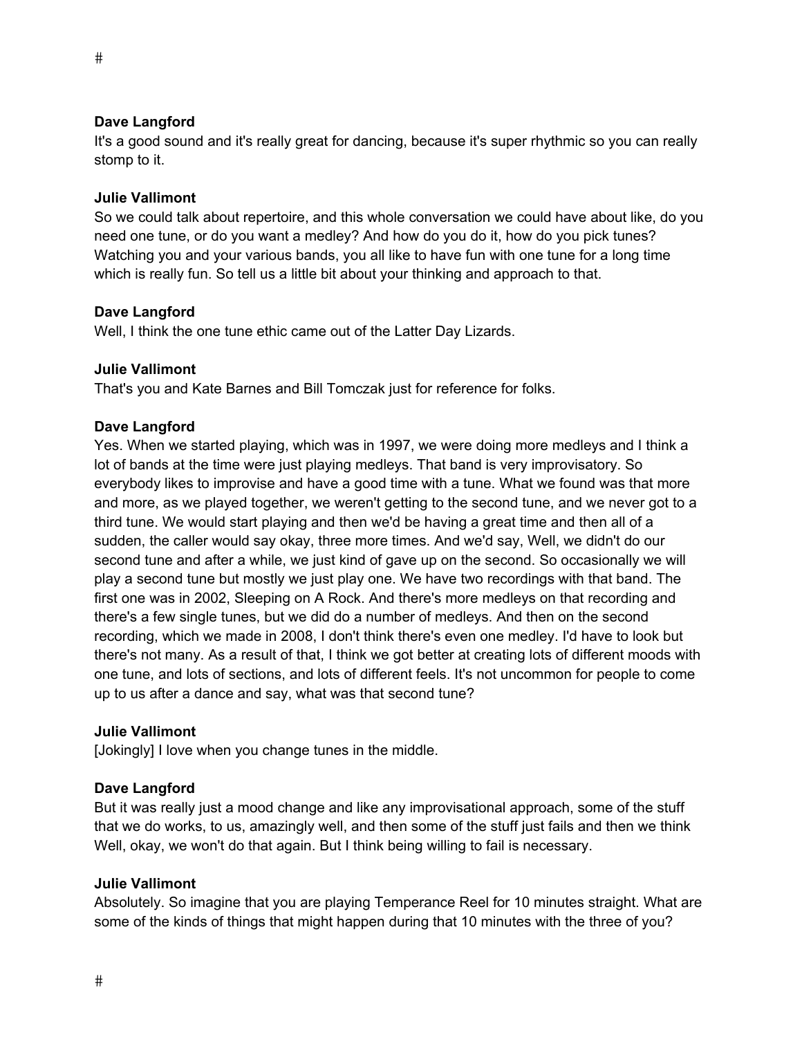It's a good sound and it's really great for dancing, because it's super rhythmic so you can really stomp to it.

#### **Julie Vallimont**

So we could talk about repertoire, and this whole conversation we could have about like, do you need one tune, or do you want a medley? And how do you do it, how do you pick tunes? Watching you and your various bands, you all like to have fun with one tune for a long time which is really fun. So tell us a little bit about your thinking and approach to that.

#### **Dave Langford**

Well, I think the one tune ethic came out of the Latter Day Lizards.

#### **Julie Vallimont**

That's you and Kate Barnes and Bill Tomczak just for reference for folks.

#### **Dave Langford**

Yes. When we started playing, which was in 1997, we were doing more medleys and I think a lot of bands at the time were just playing medleys. That band is very improvisatory. So everybody likes to improvise and have a good time with a tune. What we found was that more and more, as we played together, we weren't getting to the second tune, and we never got to a third tune. We would start playing and then we'd be having a great time and then all of a sudden, the caller would say okay, three more times. And we'd say, Well, we didn't do our second tune and after a while, we just kind of gave up on the second. So occasionally we will play a second tune but mostly we just play one. We have two recordings with that band. The first one was in 2002, Sleeping on A Rock. And there's more medleys on that recording and there's a few single tunes, but we did do a number of medleys. And then on the second recording, which we made in 2008, I don't think there's even one medley. I'd have to look but there's not many. As a result of that, I think we got better at creating lots of different moods with one tune, and lots of sections, and lots of different feels. It's not uncommon for people to come up to us after a dance and say, what was that second tune?

#### **Julie Vallimont**

[Jokingly] I love when you change tunes in the middle.

#### **Dave Langford**

But it was really just a mood change and like any improvisational approach, some of the stuff that we do works, to us, amazingly well, and then some of the stuff just fails and then we think Well, okay, we won't do that again. But I think being willing to fail is necessary.

#### **Julie Vallimont**

Absolutely. So imagine that you are playing Temperance Reel for 10 minutes straight. What are some of the kinds of things that might happen during that 10 minutes with the three of you?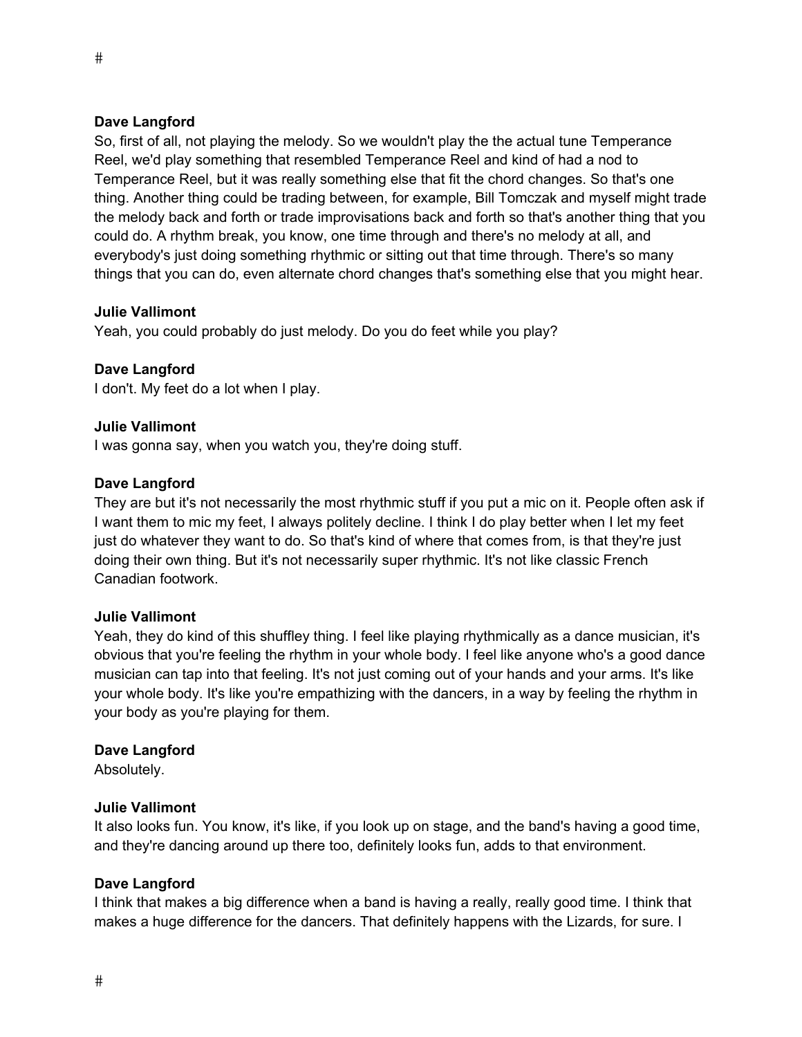So, first of all, not playing the melody. So we wouldn't play the the actual tune Temperance Reel, we'd play something that resembled Temperance Reel and kind of had a nod to Temperance Reel, but it was really something else that fit the chord changes. So that's one thing. Another thing could be trading between, for example, Bill Tomczak and myself might trade the melody back and forth or trade improvisations back and forth so that's another thing that you could do. A rhythm break, you know, one time through and there's no melody at all, and everybody's just doing something rhythmic or sitting out that time through. There's so many things that you can do, even alternate chord changes that's something else that you might hear.

#### **Julie Vallimont**

Yeah, you could probably do just melody. Do you do feet while you play?

#### **Dave Langford**

I don't. My feet do a lot when I play.

#### **Julie Vallimont**

I was gonna say, when you watch you, they're doing stuff.

#### **Dave Langford**

They are but it's not necessarily the most rhythmic stuff if you put a mic on it. People often ask if I want them to mic my feet, I always politely decline. I think I do play better when I let my feet just do whatever they want to do. So that's kind of where that comes from, is that they're just doing their own thing. But it's not necessarily super rhythmic. It's not like classic French Canadian footwork.

#### **Julie Vallimont**

Yeah, they do kind of this shuffley thing. I feel like playing rhythmically as a dance musician, it's obvious that you're feeling the rhythm in your whole body. I feel like anyone who's a good dance musician can tap into that feeling. It's not just coming out of your hands and your arms. It's like your whole body. It's like you're empathizing with the dancers, in a way by feeling the rhythm in your body as you're playing for them.

#### **Dave Langford**

Absolutely.

#### **Julie Vallimont**

It also looks fun. You know, it's like, if you look up on stage, and the band's having a good time, and they're dancing around up there too, definitely looks fun, adds to that environment.

#### **Dave Langford**

I think that makes a big difference when a band is having a really, really good time. I think that makes a huge difference for the dancers. That definitely happens with the Lizards, for sure. I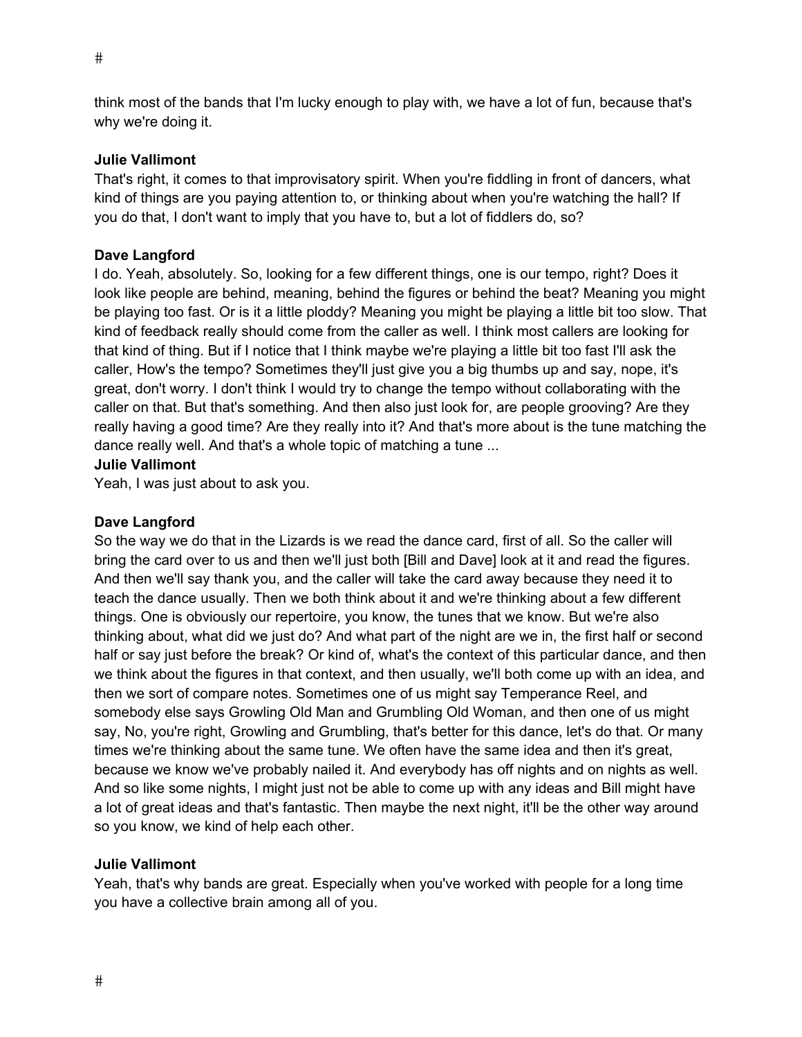think most of the bands that I'm lucky enough to play with, we have a lot of fun, because that's why we're doing it.

# **Julie Vallimont**

That's right, it comes to that improvisatory spirit. When you're fiddling in front of dancers, what kind of things are you paying attention to, or thinking about when you're watching the hall? If you do that, I don't want to imply that you have to, but a lot of fiddlers do, so?

# **Dave Langford**

I do. Yeah, absolutely. So, looking for a few different things, one is our tempo, right? Does it look like people are behind, meaning, behind the figures or behind the beat? Meaning you might be playing too fast. Or is it a little ploddy? Meaning you might be playing a little bit too slow. That kind of feedback really should come from the caller as well. I think most callers are looking for that kind of thing. But if I notice that I think maybe we're playing a little bit too fast I'll ask the caller, How's the tempo? Sometimes they'll just give you a big thumbs up and say, nope, it's great, don't worry. I don't think I would try to change the tempo without collaborating with the caller on that. But that's something. And then also just look for, are people grooving? Are they really having a good time? Are they really into it? And that's more about is the tune matching the dance really well. And that's a whole topic of matching a tune ...

# **Julie Vallimont**

Yeah, I was just about to ask you.

# **Dave Langford**

So the way we do that in the Lizards is we read the dance card, first of all. So the caller will bring the card over to us and then we'll just both [Bill and Dave] look at it and read the figures. And then we'll say thank you, and the caller will take the card away because they need it to teach the dance usually. Then we both think about it and we're thinking about a few different things. One is obviously our repertoire, you know, the tunes that we know. But we're also thinking about, what did we just do? And what part of the night are we in, the first half or second half or say just before the break? Or kind of, what's the context of this particular dance, and then we think about the figures in that context, and then usually, we'll both come up with an idea, and then we sort of compare notes. Sometimes one of us might say Temperance Reel, and somebody else says Growling Old Man and Grumbling Old Woman, and then one of us might say, No, you're right, Growling and Grumbling, that's better for this dance, let's do that. Or many times we're thinking about the same tune. We often have the same idea and then it's great, because we know we've probably nailed it. And everybody has off nights and on nights as well. And so like some nights, I might just not be able to come up with any ideas and Bill might have a lot of great ideas and that's fantastic. Then maybe the next night, it'll be the other way around so you know, we kind of help each other.

# **Julie Vallimont**

Yeah, that's why bands are great. Especially when you've worked with people for a long time you have a collective brain among all of you.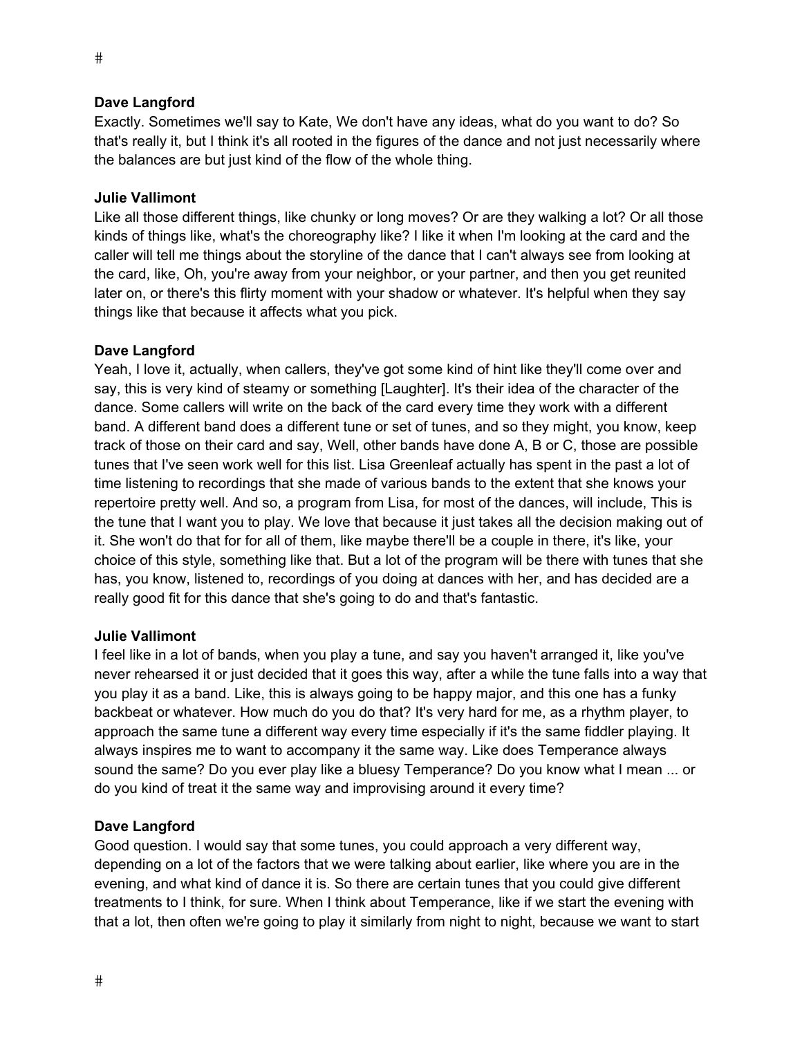Exactly. Sometimes we'll say to Kate, We don't have any ideas, what do you want to do? So that's really it, but I think it's all rooted in the figures of the dance and not just necessarily where the balances are but just kind of the flow of the whole thing.

#### **Julie Vallimont**

Like all those different things, like chunky or long moves? Or are they walking a lot? Or all those kinds of things like, what's the choreography like? I like it when I'm looking at the card and the caller will tell me things about the storyline of the dance that I can't always see from looking at the card, like, Oh, you're away from your neighbor, or your partner, and then you get reunited later on, or there's this flirty moment with your shadow or whatever. It's helpful when they say things like that because it affects what you pick.

#### **Dave Langford**

Yeah, I love it, actually, when callers, they've got some kind of hint like they'll come over and say, this is very kind of steamy or something [Laughter]. It's their idea of the character of the dance. Some callers will write on the back of the card every time they work with a different band. A different band does a different tune or set of tunes, and so they might, you know, keep track of those on their card and say, Well, other bands have done A, B or C, those are possible tunes that I've seen work well for this list. Lisa Greenleaf actually has spent in the past a lot of time listening to recordings that she made of various bands to the extent that she knows your repertoire pretty well. And so, a program from Lisa, for most of the dances, will include, This is the tune that I want you to play. We love that because it just takes all the decision making out of it. She won't do that for for all of them, like maybe there'll be a couple in there, it's like, your choice of this style, something like that. But a lot of the program will be there with tunes that she has, you know, listened to, recordings of you doing at dances with her, and has decided are a really good fit for this dance that she's going to do and that's fantastic.

#### **Julie Vallimont**

I feel like in a lot of bands, when you play a tune, and say you haven't arranged it, like you've never rehearsed it or just decided that it goes this way, after a while the tune falls into a way that you play it as a band. Like, this is always going to be happy major, and this one has a funky backbeat or whatever. How much do you do that? It's very hard for me, as a rhythm player, to approach the same tune a different way every time especially if it's the same fiddler playing. It always inspires me to want to accompany it the same way. Like does Temperance always sound the same? Do you ever play like a bluesy Temperance? Do you know what I mean ... or do you kind of treat it the same way and improvising around it every time?

#### **Dave Langford**

Good question. I would say that some tunes, you could approach a very different way, depending on a lot of the factors that we were talking about earlier, like where you are in the evening, and what kind of dance it is. So there are certain tunes that you could give different treatments to I think, for sure. When I think about Temperance, like if we start the evening with that a lot, then often we're going to play it similarly from night to night, because we want to start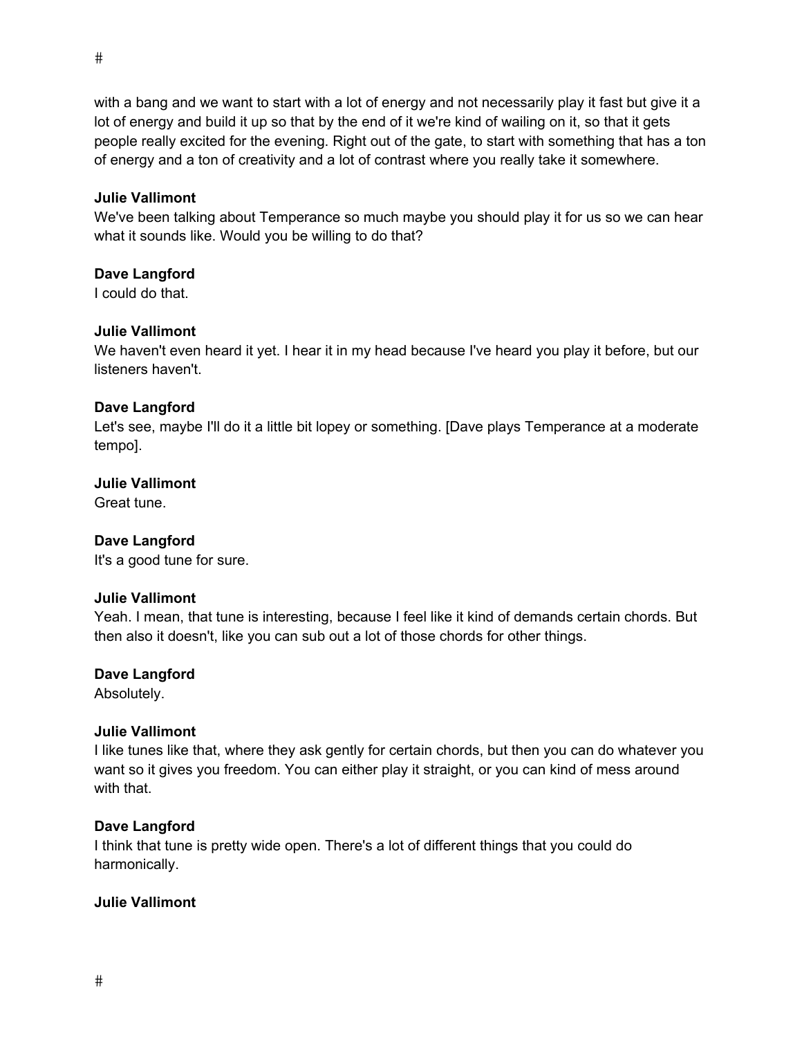with a bang and we want to start with a lot of energy and not necessarily play it fast but give it a lot of energy and build it up so that by the end of it we're kind of wailing on it, so that it gets people really excited for the evening. Right out of the gate, to start with something that has a ton of energy and a ton of creativity and a lot of contrast where you really take it somewhere.

# **Julie Vallimont**

We've been talking about Temperance so much maybe you should play it for us so we can hear what it sounds like. Would you be willing to do that?

# **Dave Langford**

I could do that.

# **Julie Vallimont**

We haven't even heard it yet. I hear it in my head because I've heard you play it before, but our listeners haven't.

# **Dave Langford**

Let's see, maybe I'll do it a little bit lopey or something. [Dave plays Temperance at a moderate tempo].

# **Julie Vallimont**

Great tune.

# **Dave Langford**

It's a good tune for sure.

# **Julie Vallimont**

Yeah. I mean, that tune is interesting, because I feel like it kind of demands certain chords. But then also it doesn't, like you can sub out a lot of those chords for other things.

# **Dave Langford**

Absolutely.

# **Julie Vallimont**

I like tunes like that, where they ask gently for certain chords, but then you can do whatever you want so it gives you freedom. You can either play it straight, or you can kind of mess around with that.

# **Dave Langford**

I think that tune is pretty wide open. There's a lot of different things that you could do harmonically.

# **Julie Vallimont**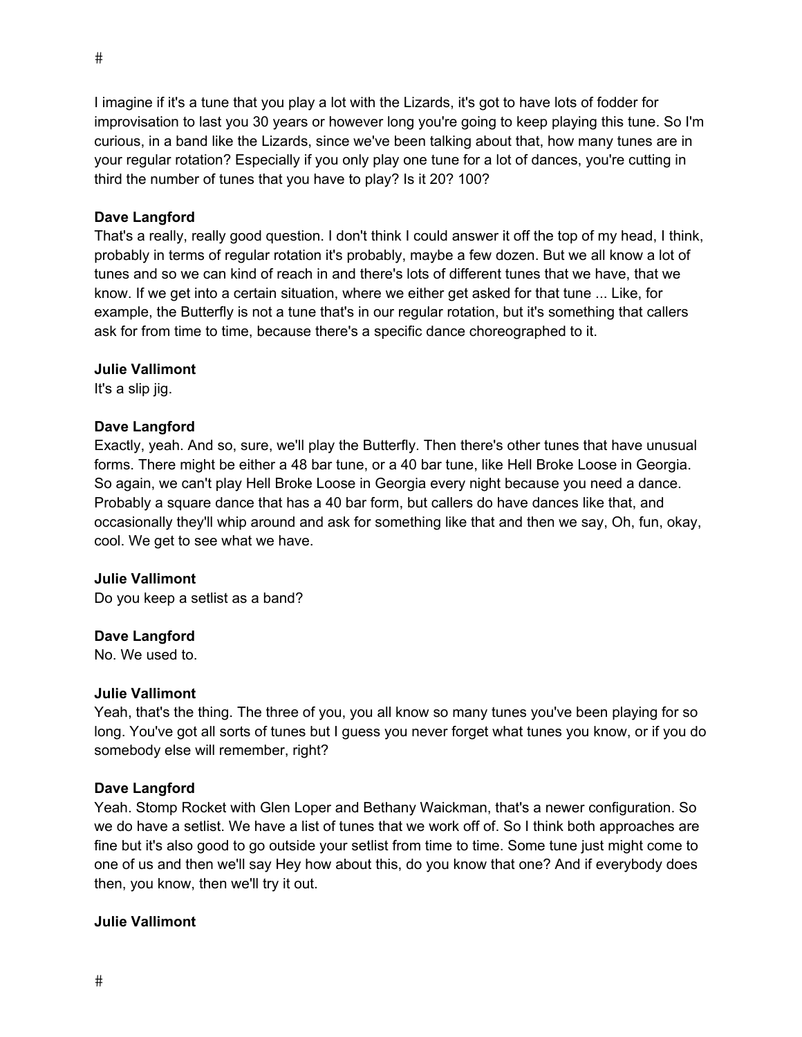I imagine if it's a tune that you play a lot with the Lizards, it's got to have lots of fodder for improvisation to last you 30 years or however long you're going to keep playing this tune. So I'm curious, in a band like the Lizards, since we've been talking about that, how many tunes are in your regular rotation? Especially if you only play one tune for a lot of dances, you're cutting in third the number of tunes that you have to play? Is it 20? 100?

# **Dave Langford**

That's a really, really good question. I don't think I could answer it off the top of my head, I think, probably in terms of regular rotation it's probably, maybe a few dozen. But we all know a lot of tunes and so we can kind of reach in and there's lots of different tunes that we have, that we know. If we get into a certain situation, where we either get asked for that tune ... Like, for example, the Butterfly is not a tune that's in our regular rotation, but it's something that callers ask for from time to time, because there's a specific dance choreographed to it.

# **Julie Vallimont**

It's a slip jig.

# **Dave Langford**

Exactly, yeah. And so, sure, we'll play the Butterfly. Then there's other tunes that have unusual forms. There might be either a 48 bar tune, or a 40 bar tune, like Hell Broke Loose in Georgia. So again, we can't play Hell Broke Loose in Georgia every night because you need a dance. Probably a square dance that has a 40 bar form, but callers do have dances like that, and occasionally they'll whip around and ask for something like that and then we say, Oh, fun, okay, cool. We get to see what we have.

# **Julie Vallimont**

Do you keep a setlist as a band?

# **Dave Langford**

No. We used to.

# **Julie Vallimont**

Yeah, that's the thing. The three of you, you all know so many tunes you've been playing for so long. You've got all sorts of tunes but I guess you never forget what tunes you know, or if you do somebody else will remember, right?

# **Dave Langford**

Yeah. Stomp Rocket with Glen Loper and Bethany Waickman, that's a newer configuration. So we do have a setlist. We have a list of tunes that we work off of. So I think both approaches are fine but it's also good to go outside your setlist from time to time. Some tune just might come to one of us and then we'll say Hey how about this, do you know that one? And if everybody does then, you know, then we'll try it out.

# **Julie Vallimont**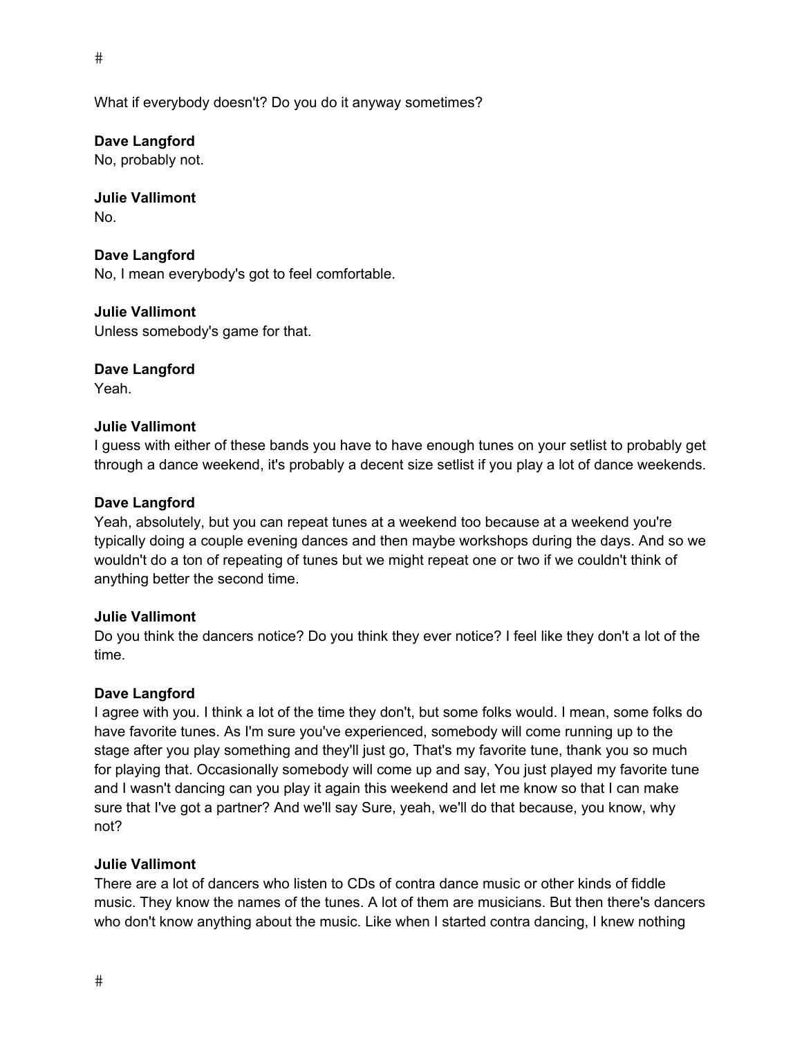$\#$ 

What if everybody doesn't? Do you do it anyway sometimes?

**Dave Langford**  No, probably not.

**Julie Vallimont**  No.

**Dave Langford**  No, I mean everybody's got to feel comfortable.

**Julie Vallimont**  Unless somebody's game for that.

**Dave Langford**  Yeah.

#### **Julie Vallimont**

I guess with either of these bands you have to have enough tunes on your setlist to probably get through a dance weekend, it's probably a decent size setlist if you play a lot of dance weekends.

#### **Dave Langford**

Yeah, absolutely, but you can repeat tunes at a weekend too because at a weekend you're typically doing a couple evening dances and then maybe workshops during the days. And so we wouldn't do a ton of repeating of tunes but we might repeat one or two if we couldn't think of anything better the second time.

#### **Julie Vallimont**

Do you think the dancers notice? Do you think they ever notice? I feel like they don't a lot of the time.

#### **Dave Langford**

I agree with you. I think a lot of the time they don't, but some folks would. I mean, some folks do have favorite tunes. As I'm sure you've experienced, somebody will come running up to the stage after you play something and they'll just go, That's my favorite tune, thank you so much for playing that. Occasionally somebody will come up and say, You just played my favorite tune and I wasn't dancing can you play it again this weekend and let me know so that I can make sure that I've got a partner? And we'll say Sure, yeah, we'll do that because, you know, why not?

# **Julie Vallimont**

There are a lot of dancers who listen to CDs of contra dance music or other kinds of fiddle music. They know the names of the tunes. A lot of them are musicians. But then there's dancers who don't know anything about the music. Like when I started contra dancing, I knew nothing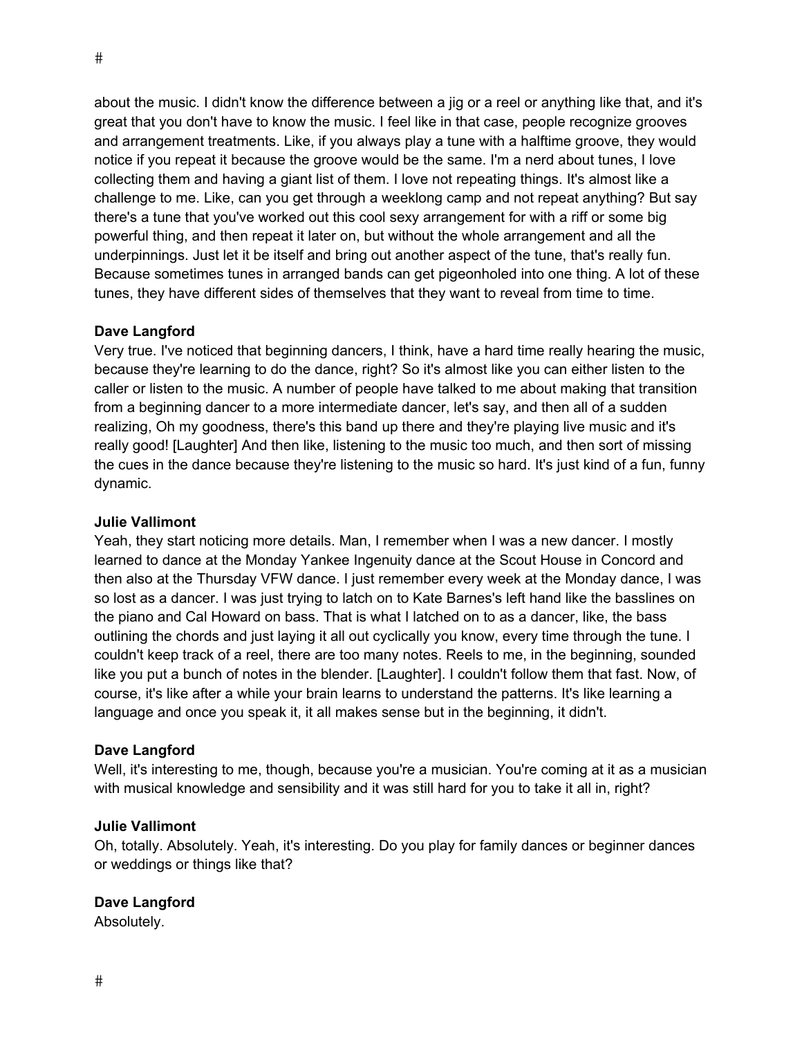about the music. I didn't know the difference between a jig or a reel or anything like that, and it's great that you don't have to know the music. I feel like in that case, people recognize grooves and arrangement treatments. Like, if you always play a tune with a halftime groove, they would notice if you repeat it because the groove would be the same. I'm a nerd about tunes, I love collecting them and having a giant list of them. I love not repeating things. It's almost like a challenge to me. Like, can you get through a weeklong camp and not repeat anything? But say there's a tune that you've worked out this cool sexy arrangement for with a riff or some big powerful thing, and then repeat it later on, but without the whole arrangement and all the underpinnings. Just let it be itself and bring out another aspect of the tune, that's really fun. Because sometimes tunes in arranged bands can get pigeonholed into one thing. A lot of these tunes, they have different sides of themselves that they want to reveal from time to time.

# **Dave Langford**

Very true. I've noticed that beginning dancers, I think, have a hard time really hearing the music, because they're learning to do the dance, right? So it's almost like you can either listen to the caller or listen to the music. A number of people have talked to me about making that transition from a beginning dancer to a more intermediate dancer, let's say, and then all of a sudden realizing, Oh my goodness, there's this band up there and they're playing live music and it's really good! [Laughter] And then like, listening to the music too much, and then sort of missing the cues in the dance because they're listening to the music so hard. It's just kind of a fun, funny dynamic.

# **Julie Vallimont**

Yeah, they start noticing more details. Man, I remember when I was a new dancer. I mostly learned to dance at the Monday Yankee Ingenuity dance at the Scout House in Concord and then also at the Thursday VFW dance. I just remember every week at the Monday dance, I was so lost as a dancer. I was just trying to latch on to Kate Barnes's left hand like the basslines on the piano and Cal Howard on bass. That is what I latched on to as a dancer, like, the bass outlining the chords and just laying it all out cyclically you know, every time through the tune. I couldn't keep track of a reel, there are too many notes. Reels to me, in the beginning, sounded like you put a bunch of notes in the blender. [Laughter]. I couldn't follow them that fast. Now, of course, it's like after a while your brain learns to understand the patterns. It's like learning a language and once you speak it, it all makes sense but in the beginning, it didn't.

# **Dave Langford**

Well, it's interesting to me, though, because you're a musician. You're coming at it as a musician with musical knowledge and sensibility and it was still hard for you to take it all in, right?

#### **Julie Vallimont**

Oh, totally. Absolutely. Yeah, it's interesting. Do you play for family dances or beginner dances or weddings or things like that?

# **Dave Langford**

Absolutely.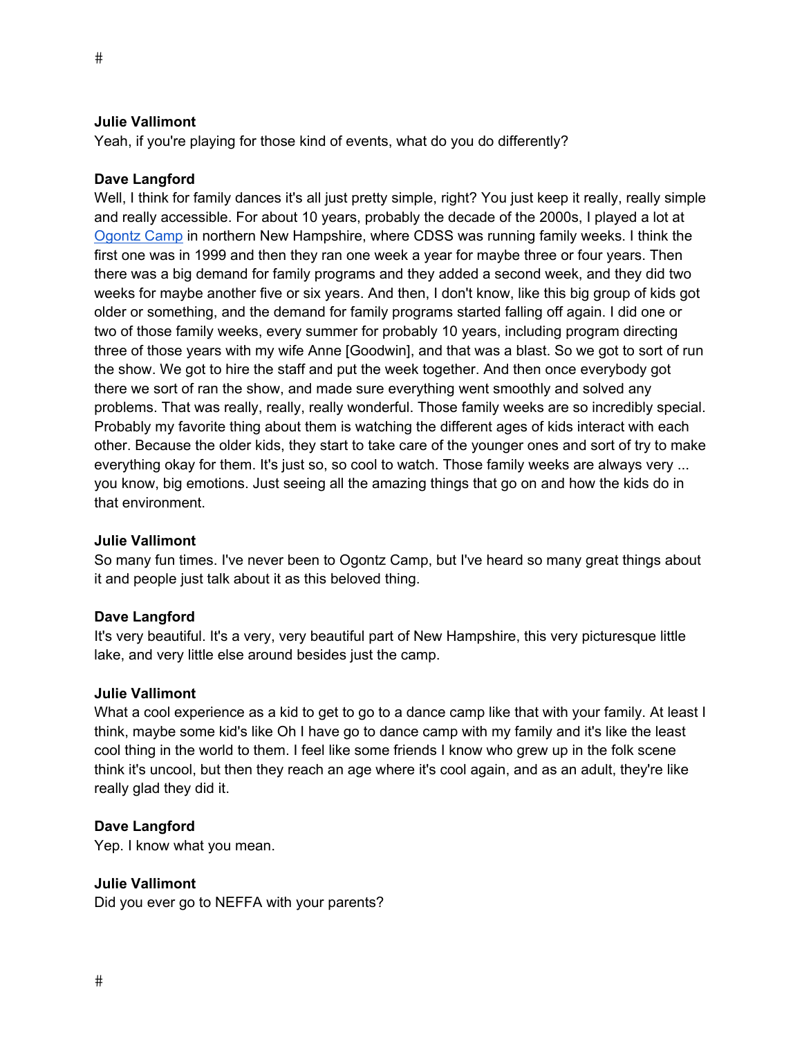Yeah, if you're playing for those kind of events, what do you do differently?

#### **Dave Langford**

Well, I think for family dances it's all just pretty simple, right? You just keep it really, really simple and really accessible. For about 10 years, probably the decade of the 2000s, I played a lot at Ogontz Camp in northern New Hampshire, where CDSS was running family weeks. I think the first one was in 1999 and then they ran one week a year for maybe three or four years. Then there was a big demand for family programs and they added a second week, and they did two weeks for maybe another five or six years. And then, I don't know, like this big group of kids got older or something, and the demand for family programs started falling off again. I did one or two of those family weeks, every summer for probably 10 years, including program directing three of those years with my wife Anne [Goodwin], and that was a blast. So we got to sort of run the show. We got to hire the staff and put the week together. And then once everybody got there we sort of ran the show, and made sure everything went smoothly and solved any problems. That was really, really, really wonderful. Those family weeks are so incredibly special. Probably my favorite thing about them is watching the different ages of kids interact with each other. Because the older kids, they start to take care of the younger ones and sort of try to make everything okay for them. It's just so, so cool to watch. Those family weeks are always very ... you know, big emotions. Just seeing all the amazing things that go on and how the kids do in that environment.

#### **Julie Vallimont**

So many fun times. I've never been to Ogontz Camp, but I've heard so many great things about it and people just talk about it as this beloved thing.

#### **Dave Langford**

It's very beautiful. It's a very, very beautiful part of New Hampshire, this very picturesque little lake, and very little else around besides just the camp.

#### **Julie Vallimont**

What a cool experience as a kid to get to go to a dance camp like that with your family. At least I think, maybe some kid's like Oh I have go to dance camp with my family and it's like the least cool thing in the world to them. I feel like some friends I know who grew up in the folk scene think it's uncool, but then they reach an age where it's cool again, and as an adult, they're like really glad they did it.

#### **Dave Langford**

Yep. I know what you mean.

#### **Julie Vallimont**

Did you ever go to NEFFA with your parents?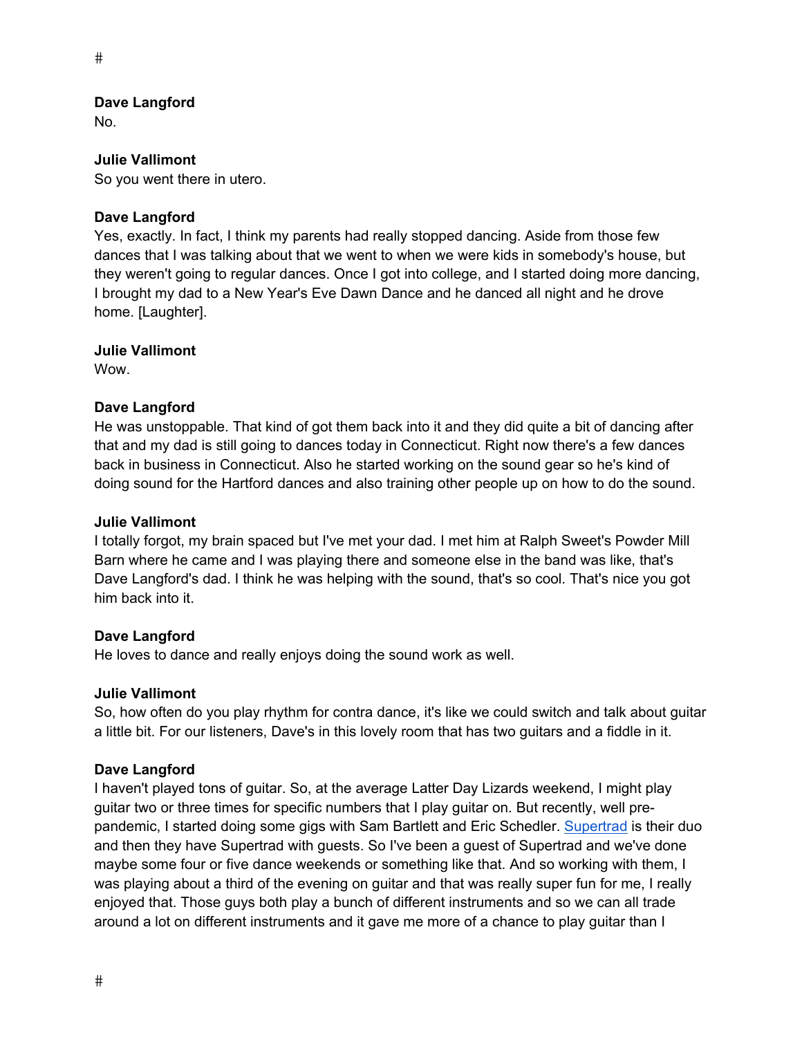No.

#### **Julie Vallimont**

So you went there in utero.

# **Dave Langford**

Yes, exactly. In fact, I think my parents had really stopped dancing. Aside from those few dances that I was talking about that we went to when we were kids in somebody's house, but they weren't going to regular dances. Once I got into college, and I started doing more dancing, I brought my dad to a New Year's Eve Dawn Dance and he danced all night and he drove home. [Laughter].

# **Julie Vallimont**

**Wow.** 

# **Dave Langford**

He was unstoppable. That kind of got them back into it and they did quite a bit of dancing after that and my dad is still going to dances today in Connecticut. Right now there's a few dances back in business in Connecticut. Also he started working on the sound gear so he's kind of doing sound for the Hartford dances and also training other people up on how to do the sound.

# **Julie Vallimont**

I totally forgot, my brain spaced but I've met your dad. I met him at Ralph Sweet's Powder Mill Barn where he came and I was playing there and someone else in the band was like, that's Dave Langford's dad. I think he was helping with the sound, that's so cool. That's nice you got him back into it.

# **Dave Langford**

He loves to dance and really enjoys doing the sound work as well.

# **Julie Vallimont**

So, how often do you play rhythm for contra dance, it's like we could switch and talk about guitar a little bit. For our listeners, Dave's in this lovely room that has two guitars and a fiddle in it.

# **Dave Langford**

I haven't played tons of guitar. So, at the average Latter Day Lizards weekend, I might play guitar two or three times for specific numbers that I play guitar on. But recently, well prepandemic, I started doing some gigs with Sam Bartlett and Eric Schedler. Supertrad is their duo and then they have Supertrad with guests. So I've been a guest of Supertrad and we've done maybe some four or five dance weekends or something like that. And so working with them, I was playing about a third of the evening on guitar and that was really super fun for me, I really enjoyed that. Those guys both play a bunch of different instruments and so we can all trade around a lot on different instruments and it gave me more of a chance to play guitar than I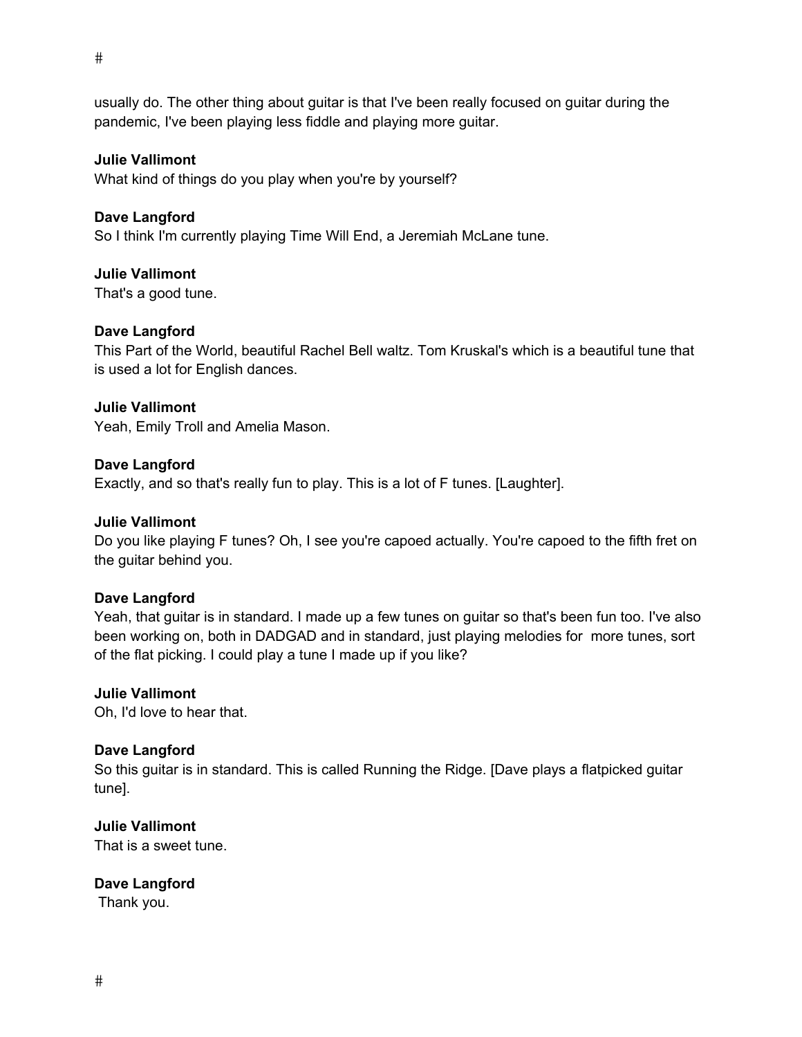usually do. The other thing about guitar is that I've been really focused on guitar during the pandemic, I've been playing less fiddle and playing more guitar.

#### **Julie Vallimont**

What kind of things do you play when you're by yourself?

#### **Dave Langford**

So I think I'm currently playing Time Will End, a Jeremiah McLane tune.

#### **Julie Vallimont**

That's a good tune.

#### **Dave Langford**

This Part of the World, beautiful Rachel Bell waltz. Tom Kruskal's which is a beautiful tune that is used a lot for English dances.

# **Julie Vallimont**

Yeah, Emily Troll and Amelia Mason.

#### **Dave Langford**

Exactly, and so that's really fun to play. This is a lot of F tunes. [Laughter].

#### **Julie Vallimont**

Do you like playing F tunes? Oh, I see you're capoed actually. You're capoed to the fifth fret on the guitar behind you.

#### **Dave Langford**

Yeah, that guitar is in standard. I made up a few tunes on guitar so that's been fun too. I've also been working on, both in DADGAD and in standard, just playing melodies for more tunes, sort of the flat picking. I could play a tune I made up if you like?

#### **Julie Vallimont**

Oh, I'd love to hear that.

# **Dave Langford**

So this guitar is in standard. This is called Running the Ridge. [Dave plays a flatpicked guitar tune].

#### **Julie Vallimont**

That is a sweet tune.

# **Dave Langford**

Thank you.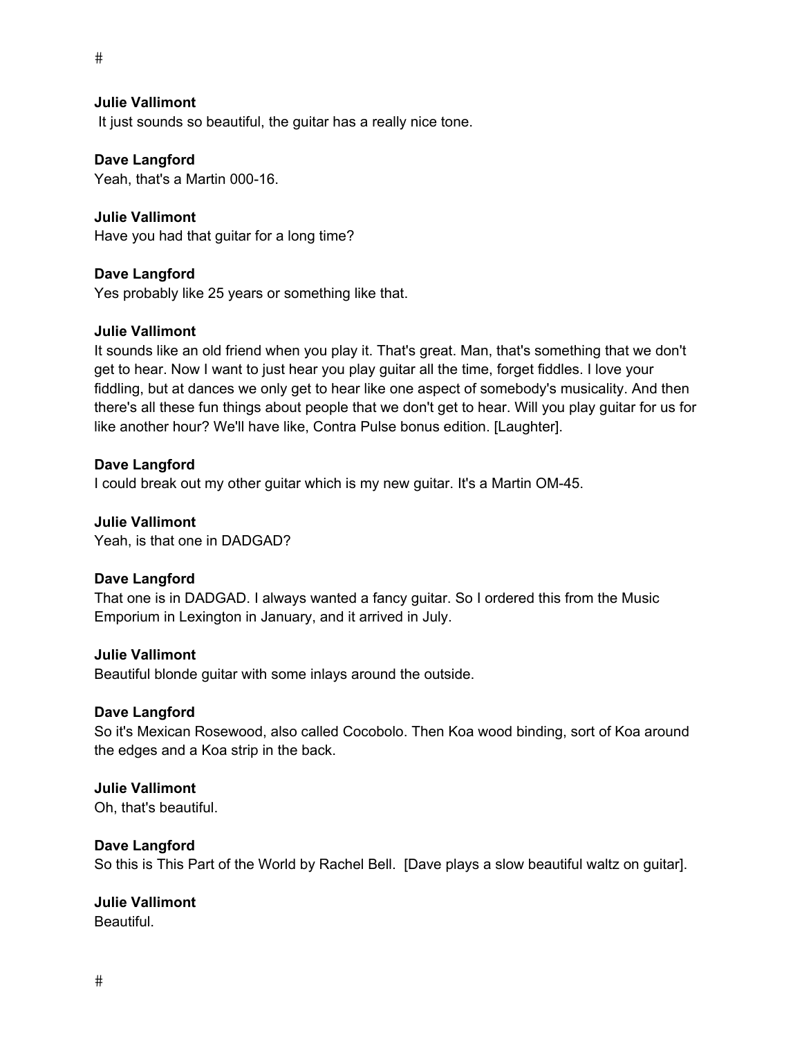$\#$ 

# **Julie Vallimont**

It just sounds so beautiful, the guitar has a really nice tone.

#### **Dave Langford**

Yeah, that's a Martin 000-16.

# **Julie Vallimont**

Have you had that guitar for a long time?

#### **Dave Langford**

Yes probably like 25 years or something like that.

#### **Julie Vallimont**

It sounds like an old friend when you play it. That's great. Man, that's something that we don't get to hear. Now I want to just hear you play guitar all the time, forget fiddles. I love your fiddling, but at dances we only get to hear like one aspect of somebody's musicality. And then there's all these fun things about people that we don't get to hear. Will you play guitar for us for like another hour? We'll have like, Contra Pulse bonus edition. [Laughter].

# **Dave Langford**

I could break out my other guitar which is my new guitar. It's a Martin OM-45.

# **Julie Vallimont**

Yeah, is that one in DADGAD?

# **Dave Langford**

That one is in DADGAD. I always wanted a fancy guitar. So I ordered this from the Music Emporium in Lexington in January, and it arrived in July.

#### **Julie Vallimont**

Beautiful blonde guitar with some inlays around the outside.

# **Dave Langford**

So it's Mexican Rosewood, also called Cocobolo. Then Koa wood binding, sort of Koa around the edges and a Koa strip in the back.

# **Julie Vallimont**

Oh, that's beautiful.

# **Dave Langford**

So this is This Part of the World by Rachel Bell. [Dave plays a slow beautiful waltz on guitar].

# **Julie Vallimont**

Beautiful.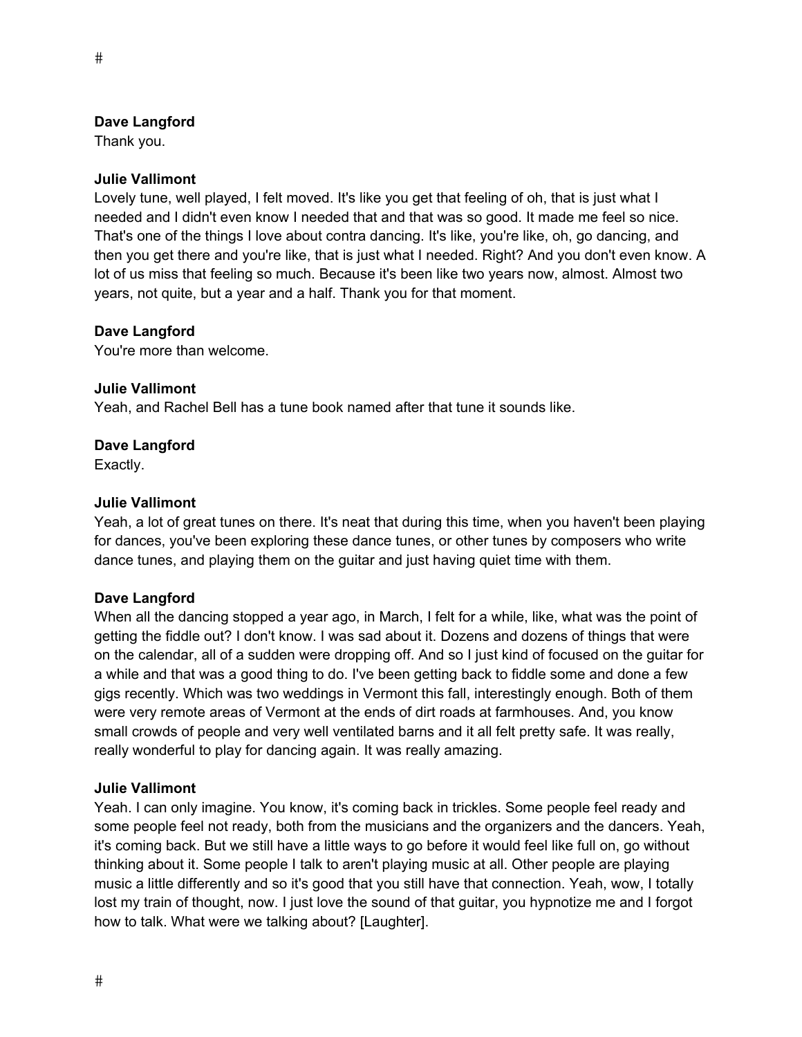Thank you.

# **Julie Vallimont**

Lovely tune, well played, I felt moved. It's like you get that feeling of oh, that is just what I needed and I didn't even know I needed that and that was so good. It made me feel so nice. That's one of the things I love about contra dancing. It's like, you're like, oh, go dancing, and then you get there and you're like, that is just what I needed. Right? And you don't even know. A lot of us miss that feeling so much. Because it's been like two years now, almost. Almost two years, not quite, but a year and a half. Thank you for that moment.

# **Dave Langford**

You're more than welcome.

#### **Julie Vallimont**

Yeah, and Rachel Bell has a tune book named after that tune it sounds like.

# **Dave Langford**

Exactly.

# **Julie Vallimont**

Yeah, a lot of great tunes on there. It's neat that during this time, when you haven't been playing for dances, you've been exploring these dance tunes, or other tunes by composers who write dance tunes, and playing them on the guitar and just having quiet time with them.

# **Dave Langford**

When all the dancing stopped a year ago, in March, I felt for a while, like, what was the point of getting the fiddle out? I don't know. I was sad about it. Dozens and dozens of things that were on the calendar, all of a sudden were dropping off. And so I just kind of focused on the guitar for a while and that was a good thing to do. I've been getting back to fiddle some and done a few gigs recently. Which was two weddings in Vermont this fall, interestingly enough. Both of them were very remote areas of Vermont at the ends of dirt roads at farmhouses. And, you know small crowds of people and very well ventilated barns and it all felt pretty safe. It was really, really wonderful to play for dancing again. It was really amazing.

#### **Julie Vallimont**

Yeah. I can only imagine. You know, it's coming back in trickles. Some people feel ready and some people feel not ready, both from the musicians and the organizers and the dancers. Yeah, it's coming back. But we still have a little ways to go before it would feel like full on, go without thinking about it. Some people I talk to aren't playing music at all. Other people are playing music a little differently and so it's good that you still have that connection. Yeah, wow, I totally lost my train of thought, now. I just love the sound of that guitar, you hypnotize me and I forgot how to talk. What were we talking about? [Laughter].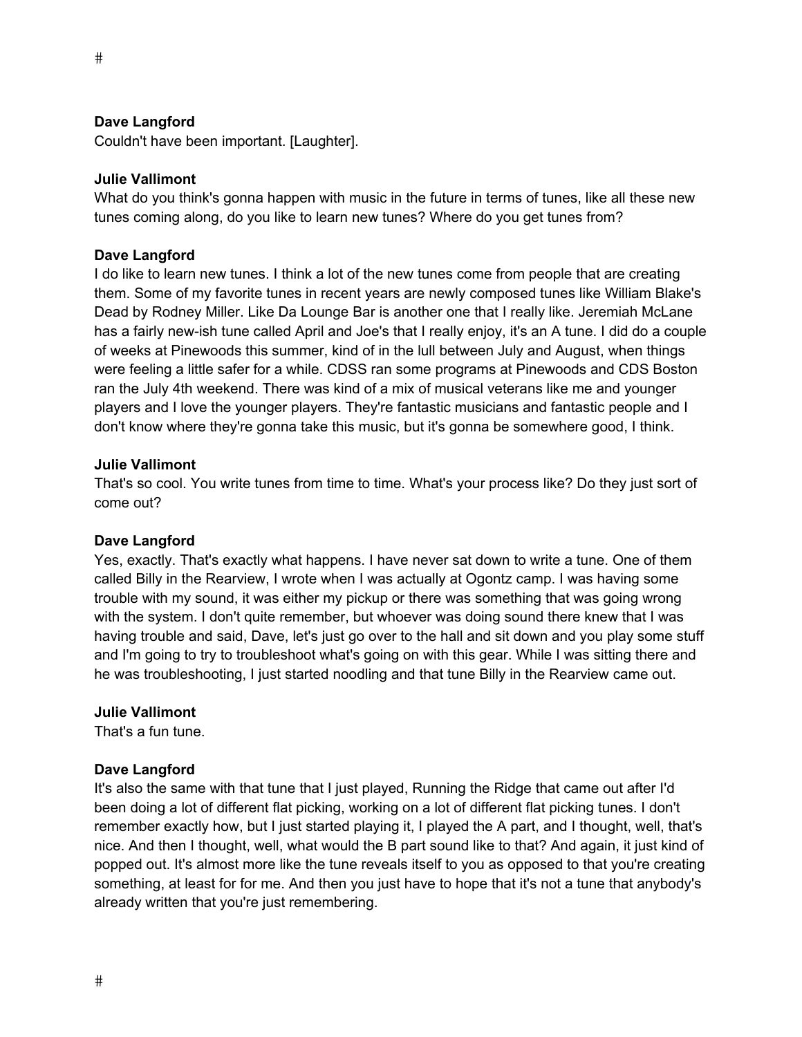Couldn't have been important. [Laughter].

#### **Julie Vallimont**

What do you think's gonna happen with music in the future in terms of tunes, like all these new tunes coming along, do you like to learn new tunes? Where do you get tunes from?

#### **Dave Langford**

I do like to learn new tunes. I think a lot of the new tunes come from people that are creating them. Some of my favorite tunes in recent years are newly composed tunes like William Blake's Dead by Rodney Miller. Like Da Lounge Bar is another one that I really like. Jeremiah McLane has a fairly new-ish tune called April and Joe's that I really enjoy, it's an A tune. I did do a couple of weeks at Pinewoods this summer, kind of in the lull between July and August, when things were feeling a little safer for a while. CDSS ran some programs at Pinewoods and CDS Boston ran the July 4th weekend. There was kind of a mix of musical veterans like me and younger players and I love the younger players. They're fantastic musicians and fantastic people and I don't know where they're gonna take this music, but it's gonna be somewhere good, I think.

#### **Julie Vallimont**

That's so cool. You write tunes from time to time. What's your process like? Do they just sort of come out?

#### **Dave Langford**

Yes, exactly. That's exactly what happens. I have never sat down to write a tune. One of them called Billy in the Rearview, I wrote when I was actually at Ogontz camp. I was having some trouble with my sound, it was either my pickup or there was something that was going wrong with the system. I don't quite remember, but whoever was doing sound there knew that I was having trouble and said, Dave, let's just go over to the hall and sit down and you play some stuff and I'm going to try to troubleshoot what's going on with this gear. While I was sitting there and he was troubleshooting, I just started noodling and that tune Billy in the Rearview came out.

#### **Julie Vallimont**

That's a fun tune.

#### **Dave Langford**

It's also the same with that tune that I just played, Running the Ridge that came out after I'd been doing a lot of different flat picking, working on a lot of different flat picking tunes. I don't remember exactly how, but I just started playing it, I played the A part, and I thought, well, that's nice. And then I thought, well, what would the B part sound like to that? And again, it just kind of popped out. It's almost more like the tune reveals itself to you as opposed to that you're creating something, at least for for me. And then you just have to hope that it's not a tune that anybody's already written that you're just remembering.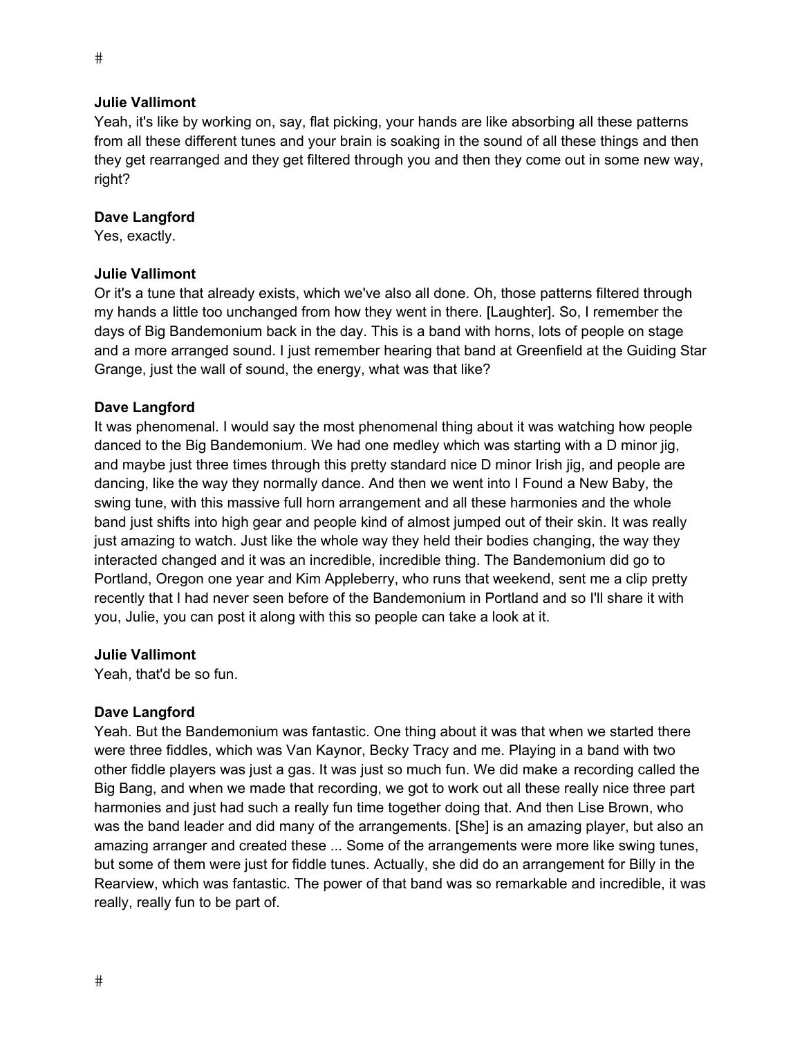Yeah, it's like by working on, say, flat picking, your hands are like absorbing all these patterns from all these different tunes and your brain is soaking in the sound of all these things and then they get rearranged and they get filtered through you and then they come out in some new way, right?

#### **Dave Langford**

Yes, exactly.

#### **Julie Vallimont**

Or it's a tune that already exists, which we've also all done. Oh, those patterns filtered through my hands a little too unchanged from how they went in there. [Laughter]. So, I remember the days of Big Bandemonium back in the day. This is a band with horns, lots of people on stage and a more arranged sound. I just remember hearing that band at Greenfield at the Guiding Star Grange, just the wall of sound, the energy, what was that like?

#### **Dave Langford**

It was phenomenal. I would say the most phenomenal thing about it was watching how people danced to the Big Bandemonium. We had one medley which was starting with a D minor jig, and maybe just three times through this pretty standard nice D minor Irish jig, and people are dancing, like the way they normally dance. And then we went into I Found a New Baby, the swing tune, with this massive full horn arrangement and all these harmonies and the whole band just shifts into high gear and people kind of almost jumped out of their skin. It was really just amazing to watch. Just like the whole way they held their bodies changing, the way they interacted changed and it was an incredible, incredible thing. The Bandemonium did go to Portland, Oregon one year and Kim Appleberry, who runs that weekend, sent me a clip pretty recently that I had never seen before of the Bandemonium in Portland and so I'll share it with you, Julie, you can post it along with this so people can take a look at it.

#### **Julie Vallimont**

Yeah, that'd be so fun.

#### **Dave Langford**

Yeah. But the Bandemonium was fantastic. One thing about it was that when we started there were three fiddles, which was Van Kaynor, Becky Tracy and me. Playing in a band with two other fiddle players was just a gas. It was just so much fun. We did make a recording called the Big Bang, and when we made that recording, we got to work out all these really nice three part harmonies and just had such a really fun time together doing that. And then Lise Brown, who was the band leader and did many of the arrangements. [She] is an amazing player, but also an amazing arranger and created these ... Some of the arrangements were more like swing tunes, but some of them were just for fiddle tunes. Actually, she did do an arrangement for Billy in the Rearview, which was fantastic. The power of that band was so remarkable and incredible, it was really, really fun to be part of.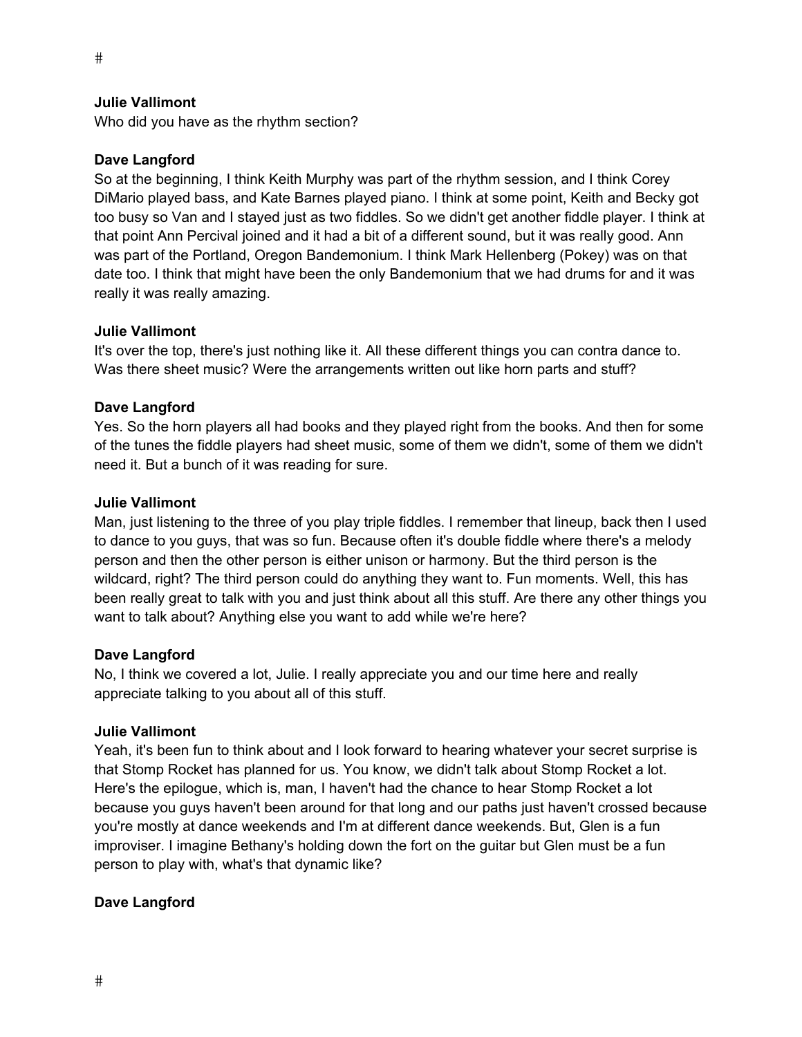Who did you have as the rhythm section?

#### **Dave Langford**

So at the beginning, I think Keith Murphy was part of the rhythm session, and I think Corey DiMario played bass, and Kate Barnes played piano. I think at some point, Keith and Becky got too busy so Van and I stayed just as two fiddles. So we didn't get another fiddle player. I think at that point Ann Percival joined and it had a bit of a different sound, but it was really good. Ann was part of the Portland, Oregon Bandemonium. I think Mark Hellenberg (Pokey) was on that date too. I think that might have been the only Bandemonium that we had drums for and it was really it was really amazing.

#### **Julie Vallimont**

It's over the top, there's just nothing like it. All these different things you can contra dance to. Was there sheet music? Were the arrangements written out like horn parts and stuff?

#### **Dave Langford**

Yes. So the horn players all had books and they played right from the books. And then for some of the tunes the fiddle players had sheet music, some of them we didn't, some of them we didn't need it. But a bunch of it was reading for sure.

#### **Julie Vallimont**

Man, just listening to the three of you play triple fiddles. I remember that lineup, back then I used to dance to you guys, that was so fun. Because often it's double fiddle where there's a melody person and then the other person is either unison or harmony. But the third person is the wildcard, right? The third person could do anything they want to. Fun moments. Well, this has been really great to talk with you and just think about all this stuff. Are there any other things you want to talk about? Anything else you want to add while we're here?

#### **Dave Langford**

No, I think we covered a lot, Julie. I really appreciate you and our time here and really appreciate talking to you about all of this stuff.

#### **Julie Vallimont**

Yeah, it's been fun to think about and I look forward to hearing whatever your secret surprise is that Stomp Rocket has planned for us. You know, we didn't talk about Stomp Rocket a lot. Here's the epilogue, which is, man, I haven't had the chance to hear Stomp Rocket a lot because you guys haven't been around for that long and our paths just haven't crossed because you're mostly at dance weekends and I'm at different dance weekends. But, Glen is a fun improviser. I imagine Bethany's holding down the fort on the guitar but Glen must be a fun person to play with, what's that dynamic like?

# **Dave Langford**